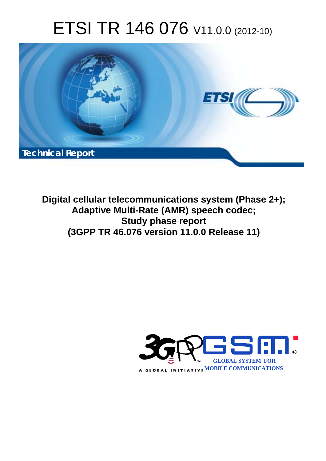# ETSI TR 146 076 V11.0.0 (2012-10)



**Digital cellular telecommunications system (Phase 2+); Adaptive Multi-Rate (AMR) speech codec; Study phase report (3GPP TR 46.076 version 11.0.0 Release 11)** 

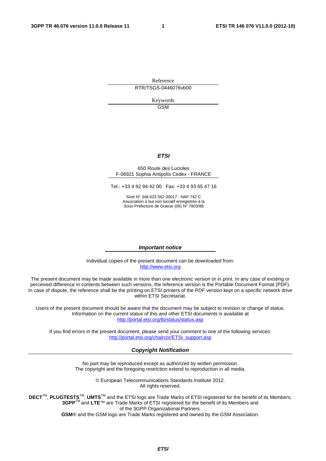Reference RTR/TSGS-0446076vb00

> Keywords GSM

#### *ETSI*

#### 650 Route des Lucioles F-06921 Sophia Antipolis Cedex - FRANCE

Tel.: +33 4 92 94 42 00 Fax: +33 4 93 65 47 16

Siret N° 348 623 562 00017 - NAF 742 C Association à but non lucratif enregistrée à la Sous-Préfecture de Grasse (06) N° 7803/88

#### *Important notice*

Individual copies of the present document can be downloaded from: [http://www.etsi.org](http://www.etsi.org/)

The present document may be made available in more than one electronic version or in print. In any case of existing or perceived difference in contents between such versions, the reference version is the Portable Document Format (PDF). In case of dispute, the reference shall be the printing on ETSI printers of the PDF version kept on a specific network drive within ETSI Secretariat.

Users of the present document should be aware that the document may be subject to revision or change of status. Information on the current status of this and other ETSI documents is available at <http://portal.etsi.org/tb/status/status.asp>

If you find errors in the present document, please send your comment to one of the following services: [http://portal.etsi.org/chaircor/ETSI\\_support.asp](http://portal.etsi.org/chaircor/ETSI_support.asp)

#### *Copyright Notification*

No part may be reproduced except as authorized by written permission. The copyright and the foregoing restriction extend to reproduction in all media.

> © European Telecommunications Standards Institute 2012. All rights reserved.

DECT<sup>™</sup>, PLUGTESTS<sup>™</sup>, UMTS<sup>™</sup> and the ETSI logo are Trade Marks of ETSI registered for the benefit of its Members. **3GPP**TM and **LTE**™ are Trade Marks of ETSI registered for the benefit of its Members and of the 3GPP Organizational Partners.

**GSM**® and the GSM logo are Trade Marks registered and owned by the GSM Association.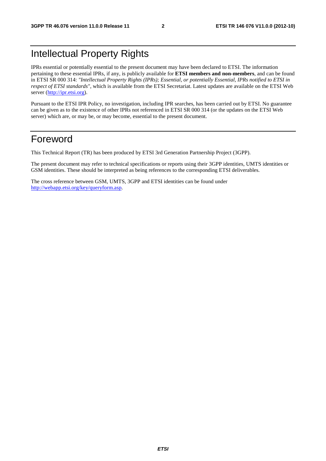## Intellectual Property Rights

IPRs essential or potentially essential to the present document may have been declared to ETSI. The information pertaining to these essential IPRs, if any, is publicly available for **ETSI members and non-members**, and can be found in ETSI SR 000 314: *"Intellectual Property Rights (IPRs); Essential, or potentially Essential, IPRs notified to ETSI in respect of ETSI standards"*, which is available from the ETSI Secretariat. Latest updates are available on the ETSI Web server [\(http://ipr.etsi.org](http://webapp.etsi.org/IPR/home.asp)).

Pursuant to the ETSI IPR Policy, no investigation, including IPR searches, has been carried out by ETSI. No guarantee can be given as to the existence of other IPRs not referenced in ETSI SR 000 314 (or the updates on the ETSI Web server) which are, or may be, or may become, essential to the present document.

## Foreword

This Technical Report (TR) has been produced by ETSI 3rd Generation Partnership Project (3GPP).

The present document may refer to technical specifications or reports using their 3GPP identities, UMTS identities or GSM identities. These should be interpreted as being references to the corresponding ETSI deliverables.

The cross reference between GSM, UMTS, 3GPP and ETSI identities can be found under [http://webapp.etsi.org/key/queryform.asp.](http://webapp.etsi.org/key/queryform.asp)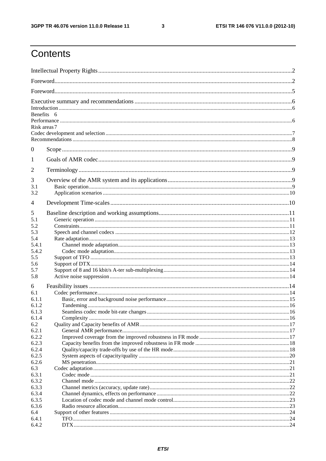$\mathbf{3}$ 

## Contents

|          | Benefits 6   |  |
|----------|--------------|--|
|          | Risk areas 7 |  |
| $\theta$ |              |  |
| 1        |              |  |
| 2        |              |  |
| 3        |              |  |
| 3.1      |              |  |
| 3.2      |              |  |
| 4        |              |  |
| 5        |              |  |
| 5.1      |              |  |
| 5.2      |              |  |
| 5.3      |              |  |
| 5.4      |              |  |
| 5.4.1    |              |  |
| 5.4.2    |              |  |
| 5.5      |              |  |
| 5.6      |              |  |
| 5.7      |              |  |
| 5.8      |              |  |
| 6        |              |  |
| 6.1      |              |  |
| 6.1.1    |              |  |
| 6.1.2    |              |  |
| 6.1.3    |              |  |
| 6.1.4    |              |  |
| 6.2      |              |  |
| 6.2.1    |              |  |
| 6.2.2    |              |  |
| 6.2.3    |              |  |
| 6.2.4    |              |  |
| 6.2.5    |              |  |
| 6.2.6    |              |  |
| 6.3      |              |  |
| 6.3.1    |              |  |
| 6.3.2    |              |  |
| 6.3.3    |              |  |
| 6.3.4    |              |  |
| 6.3.5    |              |  |
| 6.3.6    |              |  |
| 6.4      |              |  |
| 6.4.1    |              |  |
| 6.4.2    |              |  |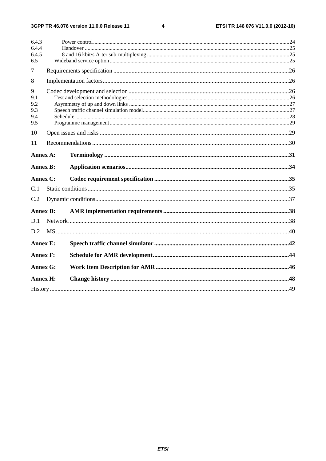$\overline{\mathbf{4}}$ 

| 6.4.3           |                 |  |
|-----------------|-----------------|--|
| 6.4.4           |                 |  |
| 6.4.5<br>6.5    |                 |  |
|                 |                 |  |
| 7               |                 |  |
| 8               |                 |  |
| 9               |                 |  |
| 9.1             |                 |  |
| 9.2             |                 |  |
| 9.3             |                 |  |
| 9.4             |                 |  |
| 9.5             |                 |  |
| 10              |                 |  |
| 11              |                 |  |
| Annex A:        |                 |  |
| <b>Annex B:</b> |                 |  |
| <b>Annex C:</b> |                 |  |
| C.1             |                 |  |
| C.2             |                 |  |
|                 | <b>Annex D:</b> |  |
| D.1             |                 |  |
| D <sub>2</sub>  |                 |  |
| <b>Annex E:</b> |                 |  |
|                 |                 |  |
| <b>Annex F:</b> |                 |  |
|                 | <b>Annex G:</b> |  |
|                 | <b>Annex H:</b> |  |
|                 |                 |  |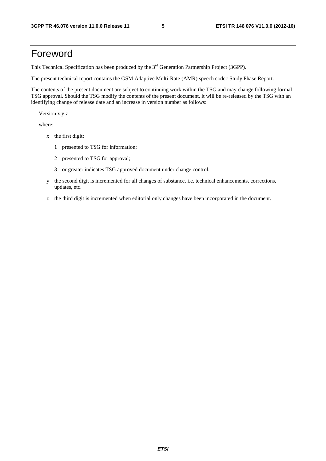## Foreword

This Technical Specification has been produced by the 3<sup>rd</sup> Generation Partnership Project (3GPP).

The present technical report contains the GSM Adaptive Multi-Rate (AMR) speech codec Study Phase Report.

The contents of the present document are subject to continuing work within the TSG and may change following formal TSG approval. Should the TSG modify the contents of the present document, it will be re-released by the TSG with an identifying change of release date and an increase in version number as follows:

Version x.y.z

where:

- x the first digit:
	- 1 presented to TSG for information;
	- 2 presented to TSG for approval;
	- 3 or greater indicates TSG approved document under change control.
- y the second digit is incremented for all changes of substance, i.e. technical enhancements, corrections, updates, etc.
- z the third digit is incremented when editorial only changes have been incorporated in the document.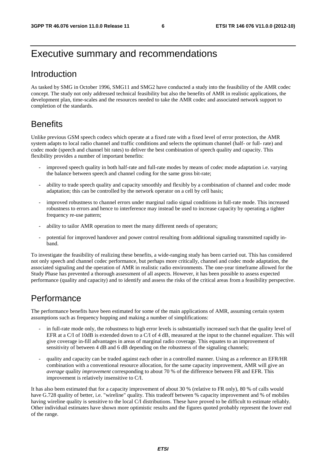## Executive summary and recommendations

## Introduction

As tasked by SMG in October 1996, SMG11 and SMG2 have conducted a study into the feasibility of the AMR codec concept. The study not only addressed technical feasibility but also the benefits of AMR in realistic applications, the development plan, time-scales and the resources needed to take the AMR codec and associated network support to completion of the standards.

## **Benefits**

Unlike previous GSM speech codecs which operate at a fixed rate with a fixed level of error protection, the AMR system adapts to local radio channel and traffic conditions and selects the optimum channel (half- or full- rate) and codec mode (speech and channel bit rates) to deliver the best combination of speech quality and capacity. This flexibility provides a number of important benefits:

- improved speech quality in both half-rate and full-rate modes by means of codec mode adaptation i.e. varying the balance between speech and channel coding for the same gross bit-rate;
- ability to trade speech quality and capacity smoothly and flexibly by a combination of channel and codec mode adaptation; this can be controlled by the network operator on a cell by cell basis;
- improved robustness to channel errors under marginal radio signal conditions in full-rate mode. This increased robustness to errors and hence to interference may instead be used to increase capacity by operating a tighter frequency re-use pattern;
- ability to tailor AMR operation to meet the many different needs of operators;
- potential for improved handover and power control resulting from additional signaling transmitted rapidly inband.

To investigate the feasibility of realizing these benefits, a wide-ranging study has been carried out. This has considered not only speech and channel codec performance, but perhaps more critically, channel and codec mode adaptation, the associated signaling and the operation of AMR in realistic radio environments. The one-year timeframe allowed for the Study Phase has prevented a thorough assessment of all aspects. However, it has been possible to assess expected performance (quality and capacity) and to identify and assess the risks of the critical areas from a feasibility perspective.

### Performance

The performance benefits have been estimated for some of the main applications of AMR, assuming certain system assumptions such as frequency hopping and making a number of simplifications:

- in full-rate mode only, the robustness to high error levels is substantially increased such that the quality level of EFR at a C/I of 10dB is extended down to a C/I of 4 dB, measured at the input to the channel equalizer. This will give coverage in-fill advantages in areas of marginal radio coverage. This equates to an improvement of sensitivity of between 4 dB and 6 dB depending on the robustness of the signaling channels;
- quality and capacity can be traded against each other in a controlled manner. Using as a reference an EFR/HR combination with a conventional resource allocation, for the same capacity improvement, AMR will give an *average* quality *improvement* corresponding to about 70 % of the difference between FR and EFR. This improvement is relatively insensitive to C/I.

It has also been estimated that for a capacity improvement of about 30 % (relative to FR only), 80 % of calls would have G.728 quality of better, i.e. "wireline" quality. This tradeoff between % capacity improvement and % of mobiles having wireline quality is sensitive to the local C/I distributions. These have proved to be difficult to estimate reliably. Other individual estimates have shown more optimistic results and the figures quoted probably represent the lower end of the range.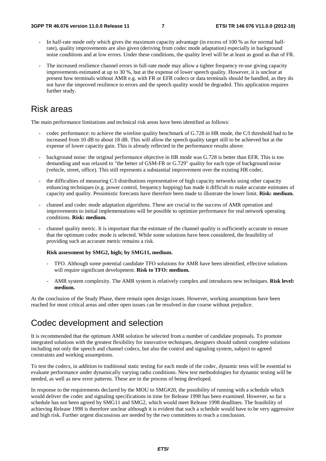- In half-rate mode only which gives the maximum capacity advantage (in excess of 100 % as for normal halfrate), quality improvements are also given (deriving from codec mode adaptation) especially in background noise conditions and at low errors. Under these conditions, the quality level will be at least as good as that of FR.
- The increased resilience channel errors in full-rate mode may allow a tighter frequency re-use giving capacity improvements estimated at up to 30 %, but at the expense of lower speech quality. However, it is unclear at present how terminals without AMR e.g. with FR or EFR codecs or data terminals should be handled, as they do not have the improved resilience to errors and the speech quality would be degraded. This application requires further study.

### Risk areas

The main performance limitations and technical risk areas have been identified as follows:

- codec performance: to achieve the wireline quality benchmark of G.728 in HR mode, the C/I threshold had to be increased from 10 dB to about 18 dB. This will allow the speech quality target still to be achieved but at the expense of lower capacity gain. This is already reflected in the performance results above.
- background noise: the original performance objective in HR mode was G.728 is better than EFR. This is too demanding and was relaxed to "the better of GSM-FR or G.729" quality for each type of background noise (vehicle, street, office). This still represents a substantial improvement over the existing HR codec.
- the difficulties of measuring C/I distributions representative of high capacity networks using other capacity enhancing techniques (e.g. power control, frequency hopping) has made it difficult to make accurate estimates of capacity and quality. Pessimistic forecasts have therefore been made to illustrate the lower limit. **Risk: medium.**
- channel and codec mode adaptation algorithms. These are crucial to the success of AMR operation and improvements to initial implementations will be possible to optimize performance for real network operating conditions. **Risk: medium.**
- channel quality metric. It is important that the estimate of the channel quality is sufficiently accurate to ensure that the optimum codec mode is selected. While some solutions have been considered, the feasibility of providing such an accurate metric remains a risk.

#### **Risk assessment by SMG2, high; by SMG11, medium.**

- TFO. Although some potential candidate TFO solutions for AMR have been identified, effective solutions will require significant development. **Risk to TFO: medium.**
- AMR system complexity. The AMR system is relatively complex and introduces new techniques. **Risk level: medium.**

At the conclusion of the Study Phase, there remain open design issues. However, working assumptions have been reached for most critical areas and other open issues can be resolved in due course without prejudice.

## Codec development and selection

It is recommended that the optimum AMR solution be selected from a number of candidate proposals. To promote integrated solutions with the greatest flexibility for innovative techniques, designers should submit complete solutions including not only the speech and channel codecs, but also the control and signaling system, subject to agreed constraints and working assumptions.

To test the codecs, in addition to traditional static testing for each mode of the codec, dynamic tests will be essential to evaluate performance under dynamically varying radio conditions. New test methodologies for dynamic testing will be needed, as well as new error patterns. These are in the process of being developed.

In response to the requirements declared by the MOU to SMG#20, the possibility of running with a schedule which would deliver the codec and signaling specifications in time for Release 1998 has been examined. However, so far a schedule has not been agreed by SMG11 and SMG2, which would meet Release 1998 deadlines. The feasibility of achieving Release 1998 is therefore unclear although it is evident that such a schedule would have to be very aggressive and high risk. Further urgent discussions are needed by the two committees to reach a conclusion.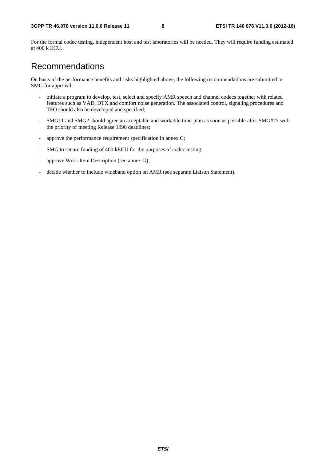For the formal codec testing, independent host and test laboratories will be needed. They will require funding estimated at 400 k ECU.

## Recommendations

On basis of the performance benefits and risks highlighted above, the following recommendations are submitted to SMG for approval:

- tnitiate a program to develop, test, select and specify AMR speech and channel codecs together with related features such as VAD, DTX and comfort noise generation. The associated control, signaling procedures and TFO should also be developed and specified;
- SMG11 and SMG2 should agree an acceptable and workable time-plan as soon as possible after SMG#23 with the priority of meeting Release 1998 deadlines;
- approve the performance requirement specification in annex C;
- SMG to secure funding of 400 kECU for the purposes of codec testing;
- approve Work Item Description (see annex G);
- decide whether to include wideband option on AMR (see separate Liaison Statement).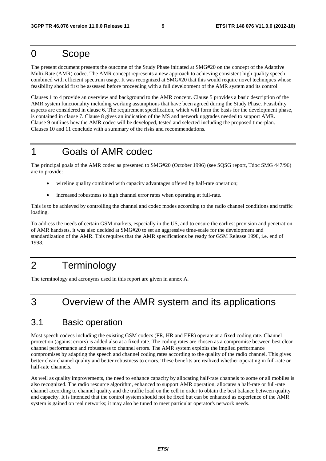## 0 Scope

The present document presents the outcome of the Study Phase initiated at SMG#20 on the concept of the Adaptive Multi-Rate (AMR) codec. The AMR concept represents a new approach to achieving consistent high quality speech combined with efficient spectrum usage. It was recognized at SMG#20 that this would require novel techniques whose feasibility should first be assessed before proceeding with a full development of the AMR system and its control.

Clauses 1 to 4 provide an overview and background to the AMR concept. Clause 5 provides a basic description of the AMR system functionality including working assumptions that have been agreed during the Study Phase. Feasibility aspects are considered in clause 6. The requirement specification, which will form the basis for the development phase, is contained in clause 7. Clause 8 gives an indication of the MS and network upgrades needed to support AMR. Clause 9 outlines how the AMR codec will be developed, tested and selected including the proposed time-plan. Clauses 10 and 11 conclude with a summary of the risks and recommendations.

## 1 Goals of AMR codec

The principal goals of the AMR codec as presented to SMG#20 (October 1996) (see SQSG report, Tdoc SMG 447/96) are to provide:

- wireline quality combined with capacity advantages offered by half-rate operation;
- increased robustness to high channel error rates when operating at full-rate.

This is to be achieved by controlling the channel and codec modes according to the radio channel conditions and traffic loading.

To address the needs of certain GSM markets, especially in the US, and to ensure the earliest provision and penetration of AMR handsets, it was also decided at SMG#20 to set an aggressive time-scale for the development and standardization of the AMR. This requires that the AMR specifications be ready for GSM Release 1998, i.e. end of 1998.

## 2 Terminology

The terminology and acronyms used in this report are given in annex A.

## 3 Overview of the AMR system and its applications

## 3.1 Basic operation

Most speech codecs including the existing GSM codecs (FR, HR and EFR) operate at a fixed coding rate. Channel protection (against errors) is added also at a fixed rate. The coding rates are chosen as a compromise between best clear channel performance and robustness to channel errors. The AMR system exploits the implied performance compromises by adapting the speech and channel coding rates according to the quality of the radio channel. This gives better clear channel quality and better robustness to errors. These benefits are realized whether operating in full-rate or half-rate channels.

As well as quality improvements, the need to enhance capacity by allocating half-rate channels to some or all mobiles is also recognized. The radio resource algorithm, enhanced to support AMR operation, allocates a half-rate or full-rate channel according to channel quality and the traffic load on the cell in order to obtain the best balance between quality and capacity. It is intended that the control system should not be fixed but can be enhanced as experience of the AMR system is gained on real networks; it may also be tuned to meet particular operator's network needs.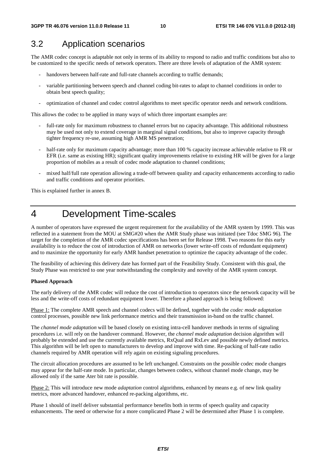## 3.2 Application scenarios

The AMR codec concept is adaptable not only in terms of its ability to respond to radio and traffic conditions but also to be customized to the specific needs of network operators. There are three levels of adaptation of the AMR system:

- handovers between half-rate and full-rate channels according to traffic demands;
- variable partitioning between speech and channel coding bit-rates to adapt to channel conditions in order to obtain best speech quality;
- optimization of channel and codec control algorithms to meet specific operator needs and network conditions.

This allows the codec to be applied in many ways of which three important examples are:

- full-rate only for maximum robustness to channel errors but no capacity advantage. This additional robustness may be used not only to extend coverage in marginal signal conditions, but also to improve capacity through tighter frequency re-use, assuming high AMR MS penetration;
- half-rate only for maximum capacity advantage; more than 100 % capacity increase achievable relative to FR or EFR (i.e. same as existing HR); significant quality improvements relative to existing HR will be given for a large proportion of mobiles as a result of codec mode adaptation to channel conditions;
- mixed half/full rate operation allowing a trade-off between quality and capacity enhancements according to radio and traffic conditions and operator priorities.

This is explained further in annex B.

## 4 Development Time-scales

A number of operators have expressed the urgent requirement for the availability of the AMR system by 1999. This was reflected in a statement from the MOU at SMG#20 when the AMR Study phase was initiated (see Tdoc SMG 96). The target for the completion of the AMR codec specifications has been set for Release 1998. Two reasons for this early availability is to reduce the cost of introduction of AMR on networks (lower write-off costs of redundant equipment) and to maximize the opportunity for early AMR handset penetration to optimize the capacity advantage of the codec.

The feasibility of achieving this delivery date has formed part of the Feasibility Study. Consistent with this goal, the Study Phase was restricted to one year notwithstanding the complexity and novelty of the AMR system concept.

#### **Phased Approach**

The early delivery of the AMR codec will reduce the cost of introduction to operators since the network capacity will be less and the write-off costs of redundant equipment lower. Therefore a phased approach is being followed:

Phase 1: The complete AMR speech and channel codecs will be defined, together with the *codec mode adaptation* control processes, possible new link performance metrics and their transmission in-band on the traffic channel.

The *channel mode adaptation* will be based closely on existing intra-cell handover methods in terms of signaling procedures i.e. will rely on the handover command. However, the *channel mode adaptation* decision algorithm will probably be extended and use the currently available metrics, RxQual and RxLev and possible newly defined metrics. This algorithm will be left open to manufacturers to develop and improve with time. Re-packing of half-rate radio channels required by AMR operation will rely again on existing signaling procedures.

The circuit allocation procedures are assumed to be left unchanged. Constraints on the possible codec mode changes may appear for the half-rate mode. In particular, changes between codecs, without channel mode change, may be allowed only if the same Ater bit rate is possible.

Phase 2: This will introduce new mode *adaptation* control algorithms, enhanced by means e.g. of new link quality metrics, more advanced handover, enhanced re-packing algorithms, etc.

Phase 1 should of itself deliver substantial performance benefits both in terms of speech quality and capacity enhancements. The need or otherwise for a more complicated Phase 2 will be determined after Phase 1 is complete.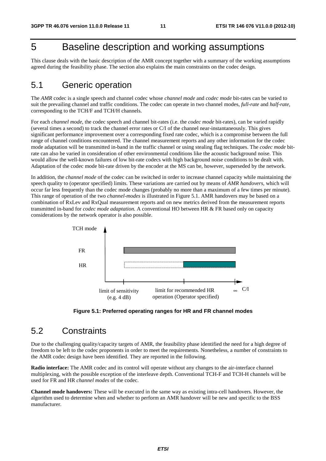## 5 Baseline description and working assumptions

This clause deals with the basic description of the AMR concept together with a summary of the working assumptions agreed during the feasibility phase. The section also explains the main constraints on the codec design.

## 5.1 Generic operation

The *AMR* codec is a single speech and channel codec whose *channel mode* and *codec mode* bit-rates can be varied to suit the prevailing channel and traffic conditions. The codec can operate in two channel modes, *full-rate* and *half-rate*, corresponding to the TCH/F and TCH/H channels.

For each *channel mode*, the codec speech and channel bit-rates (i.e. the *codec mode* bit-rates), can be varied rapidly (several times a second) to track the channel error rates or C/I of the channel near-instantaneously. This gives significant performance improvement over a corresponding fixed rate codec, which is a compromise between the full range of channel conditions encountered. The channel measurement reports and any other information for the codec mode adaptation will be transmitted in-band in the traffic channel or using stealing flag techniques. The *codec mode* bitrate can also be varied in consideration of other environmental conditions like the acoustic background noise. This would allow the well-known failures of low bit-rate codecs with high background noise conditions to be dealt with. Adaptation of the codec mode bit-rate driven by the encoder at the MS can be, however, superseded by the network.

In addition, the *channel mode* of the codec can be switched in order to increase channel capacity while maintaining the speech quality to (operator specified) limits. These variations are carried out by means of *AMR handovers*, which will occur far less frequently than the codec mode changes (probably no more than a maximum of a few times per minute). This range of operation of the two *channel*-*modes* is illustrated in Figure 5.1. AMR handovers may be based on a combination of RxLev and RxQual measurement reports and on new metrics derived from the measurement reports transmitted in-band for *codec mode adaptation.* A conventional HO between HR & FR based only on capacity considerations by the network operator is also possible.



**Figure 5.1: Preferred operating ranges for HR and FR channel modes**

## 5.2 Constraints

Due to the challenging quality/capacity targets of AMR, the feasibility phase identified the need for a high degree of freedom to be left to the codec proponents in order to meet the requirements. Nonetheless, a number of constraints to the AMR codec design have been identified. They are reported in the following.

**Radio interface:** The AMR codec and its control will operate without any changes to the air-interface channel multiplexing, with the possible exception of the interleave depth. Conventional TCH-F and TCH-H channels will be used for FR and HR *channel modes* of the codec.

**Channel mode handovers:** These will be executed in the same way as existing intra-cell handovers. However, the algorithm used to determine when and whether to perform an AMR handover will be new and specific to the BSS manufacturer.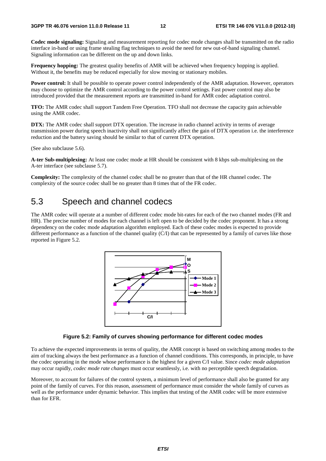**Codec mode signaling:** Signaling and measurement reporting for codec mode changes shall be transmitted on the radio interface in-band or using frame stealing flag techniques to avoid the need for new out-of-band signaling channel. Signaling information can be different on the up and down links.

**Frequency hopping:** The greatest quality benefits of AMR will be achieved when frequency hopping is applied. Without it, the benefits may be reduced especially for slow moving or stationary mobiles.

**Power control:** It shall be possible to operate power control independently of the AMR adaptation. However, operators may choose to optimize the AMR control according to the power control settings. Fast power control may also be introduced provided that the measurement reports are transmitted in-band for AMR codec adaptation control.

**TFO:** The AMR codec shall support Tandem Free Operation. TFO shall not decrease the capacity gain achievable using the AMR codec.

**DTX:** The AMR codec shall support DTX operation. The increase in radio channel activity in terms of average transmission power during speech inactivity shall not significantly affect the gain of DTX operation i.e. the interference reduction and the battery saving should be similar to that of current DTX operation.

(See also subclause 5.6).

**A-ter Sub-multiplexing:** At least one codec mode at HR should be consistent with 8 kbps sub-multiplexing on the A-ter interface (see subclause 5.7).

**Complexity:** The complexity of the channel codec shall be no greater than that of the HR channel codec. The complexity of the source codec shall be no greater than 8 times that of the FR codec.

## 5.3 Speech and channel codecs

The AMR codec will operate at a number of different codec mode bit-rates for each of the two channel modes (FR and HR). The precise number of modes for each channel is left open to be decided by the codec proponent. It has a strong dependency on the codec mode adaptation algorithm employed. Each of these codec modes is expected to provide different performance as a function of the channel quality  $(C/I)$  that can be represented by a family of curves like those reported in Figure 5.2.



#### **Figure 5.2: Family of curves showing performance for different codec modes**

To achieve the expected improvements in terms of quality, the AMR concept is based on switching among modes to the aim of tracking always the best performance as a function of channel conditions. This corresponds, in principle, to have the codec operating in the mode whose performance is the highest for a given C/I value. Since *codec mode adaptation* may occur rapidly, *codec mode rate changes* must occur seamlessly, i.e. with no perceptible speech degradation.

Moreover, to account for failures of the control system, a minimum level of performance shall also be granted for any point of the family of curves. For this reason, assessment of performance must consider the whole family of curves as well as the performance under dynamic behavior. This implies that testing of the AMR codec will be more extensive than for EFR.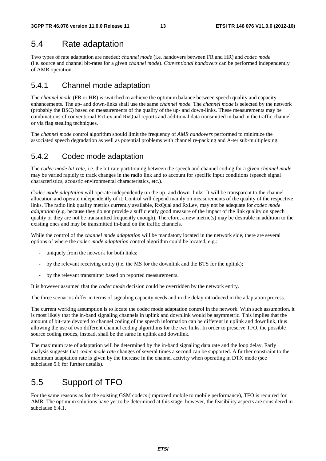## 5.4 Rate adaptation

Two types of rate adaptation are needed; *channel mode* (i.e. handovers between FR and HR) and *codec mode* (i.e. source and channel bit-rates for a given *channel mode*). *Conventional handovers* can be performed independently of AMR operation.

### 5.4.1 Channel mode adaptation

The *channel mode* (FR or HR) is switched to achieve the optimum balance between speech quality and capacity enhancements. The up- and down-links shall use the same *channel mode.* The *channel mode* is selected by the network (probably the BSC) based on measurements of the quality of the up- and down-links. These measurements may be combinations of conventional RxLev and RxQual reports and additional data transmitted in-band in the traffic channel or via flag stealing techniques.

The *channel mode* control algorithm should limit the frequency of *AMR handovers* performed to minimize the associated speech degradation as well as potential problems with channel re-packing and A-ter sub-multiplexing.

### 5.4.2 Codec mode adaptation

The *codec mode bit-rate*, i.e. the bit-rate partitioning between the speech and channel coding for a given *channel mode* may be varied rapidly to track changes in the radio link and to account for specific input conditions (speech signal characteristics, acoustic environmental characteristics, etc.).

*Codec mode adaptation* will operate independently on the up- and down- links. It will be transparent to the channel allocation and operate independently of it. Control will depend mainly on measurements of the quality of the respective links. The radio link quality metrics currently available, RxQual and RxLev, may not be adequate for *codec mode adaptation* (e.g. because they do not provide a sufficiently good measure of the impact of the link quality on speech quality or they are not be transmitted frequently enough). Therefore, a new metric(s) may be desirable in addition to the existing ones and may be transmitted in-band on the traffic channels.

While the control of the *channel mode adaptation* will be mandatory located in the network side, there are several options of where the *codec mode adaptation* control algorithm could be located, e.g.:

- uniquely from the network for both links;
- by the relevant receiving entity (i.e. the MS for the downlink and the BTS for the uplink);
- by the relevant transmitter based on reported measurements.

It is however assumed that the *codec mode* decision could be overridden by the network entity.

The three scenarios differ in terms of signaling capacity needs and in the delay introduced in the adaptation process.

The current working assumption is to locate the codec mode adaptation control in the network. With such assumption, it is most likely that the in-band signaling channels in uplink and downlink would be asymmetric. This implies that the amount of bit-rate devoted to channel coding of the speech information can be different in uplink and downlink, thus allowing the use of two different channel coding algorithms for the two links. In order to preserve TFO, the possible source coding modes, instead, shall be the same in uplink and downlink.

The maximum rate of adaptation will be determined by the in-band signaling data rate and the loop delay. Early analysis suggests that *codec mode rate* changes of several times a second can be supported. A further constraint to the maximum adaptation rate is given by the increase in the channel activity when operating in DTX mode (see subclause 5.6 for further details).

## 5.5 Support of TFO

For the same reasons as for the existing GSM codecs (improved mobile to mobile performance), TFO is required for AMR. The optimum solutions have yet to be determined at this stage, however, the feasibility aspects are considered in subclause 6.4.1.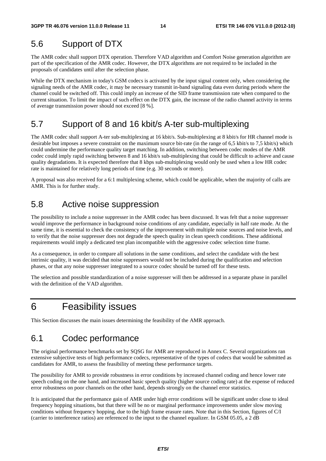## 5.6 Support of DTX

The AMR codec shall support DTX operation. Therefore VAD algorithm and Comfort Noise generation algorithm are part of the specification of the AMR codec. However, the DTX algorithms are not required to be included in the proposals of candidates until after the selection phase.

While the DTX mechanism in today's GSM codecs is activated by the input signal content only, when considering the signaling needs of the AMR codec, it may be necessary transmit in-band signaling data even during periods where the channel could be switched off. This could imply an increase of the SID frame transmission rate when compared to the current situation. To limit the impact of such effect on the DTX gain, the increase of the radio channel activity in terms of average transmission power should not exceed [8 %].

## 5.7 Support of 8 and 16 kbit/s A-ter sub-multiplexing

The AMR codec shall support A-ter sub-multiplexing at 16 kbit/s. Sub-multiplexing at 8 kbit/s for HR channel mode is desirable but imposes a severe constraint on the maximum source bit-rate (in the range of 6,5 kbit/s to 7,5 kbit/s) which could undermine the performance quality target matching. In addition, switching between codec modes of the AMR codec could imply rapid switching between 8 and 16 kbit/s sub-multiplexing that could be difficult to achieve and cause quality degradations. It is expected therefore that 8 kbps sub-multiplexing would only be used when a low HR codec rate is maintained for relatively long periods of time (e.g. 30 seconds or more).

A proposal was also received for a 6:1 multiplexing scheme, which could be applicable, when the majority of calls are AMR. This is for further study.

### 5.8 Active noise suppression

The possibility to include a noise suppresser in the AMR codec has been discussed. It was felt that a noise suppresser would improve the performance in background noise conditions of any candidate, especially in half rate mode. At the same time, it is essential to check the consistency of the improvement with multiple noise sources and noise levels, and to verify that the noise suppresser does not degrade the speech quality in clean speech conditions. These additional requirements would imply a dedicated test plan incompatible with the aggressive codec selection time frame.

As a consequence, in order to compare all solutions in the same conditions, and select the candidate with the best intrinsic quality, it was decided that noise suppressers would not be included during the qualification and selection phases, or that any noise suppresser integrated to a source codec should be turned off for these tests.

The selection and possible standardization of a noise suppresser will then be addressed in a separate phase in parallel with the definition of the VAD algorithm.

## 6 Feasibility issues

This Section discusses the main issues determining the feasibility of the AMR approach.

## 6.1 Codec performance

The original performance benchmarks set by SQSG for AMR are reproduced in Annex C. Several organizations ran extensive subjective tests of high performance codecs, representative of the types of codecs that would be submitted as candidates for AMR, to assess the feasibility of meeting these performance targets.

The possibility for AMR to provide robustness in error conditions by increased channel coding and hence lower rate speech coding on the one hand, and increased basic speech quality (higher source coding rate) at the expense of reduced error robustness on poor channels on the other hand, depends strongly on the channel error statistics.

It is anticipated that the performance gain of AMR under high error conditions will be significant under close to ideal frequency hopping situations, but that there will be no or marginal performance improvements under slow moving conditions without frequency hopping, due to the high frame erasure rates. Note that in this Section, figures of C/I (carrier to interference ratios) are referenced to the input to the channel equalizer. In GSM 05.05, a 2 dB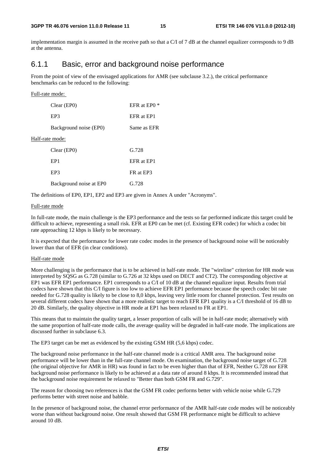implementation margin is assumed in the receive path so that a  $C/I$  of 7 dB at the channel equalizer corresponds to 9 dB at the antenna.

### 6.1.1 Basic, error and background noise performance

From the point of view of the envisaged applications for AMR (see subclause 3.2.), the critical performance benchmarks can be reduced to the following:

#### Full-rate mode:

| Clear (EP0)             | EFR at EP0 * |
|-------------------------|--------------|
| EP3                     | EFR at EP1   |
| Background noise (EP0)  | Same as EFR  |
| Half-rate mode:         |              |
| Clear (EP0)             | G.728        |
| EP <sub>1</sub>         | EFR at EP1   |
| EP3                     | FR at EP3    |
| Background noise at EPO | G.728        |

The definitions of EP0, EP1, EP2 and EP3 are given in Annex A under "Acronyms".

#### Full-rate mode

In full-rate mode, the main challenge is the EP3 performance and the tests so far performed indicate this target could be difficult to achieve, representing a small risk. EFR at EP0 can be met (cf. Existing EFR codec) for which a codec bit rate approaching 12 kbps is likely to be necessary.

It is expected that the performance for lower rate codec modes in the presence of background noise will be noticeably lower than that of EFR (in clear conditions).

#### Half-rate mode

More challenging is the performance that is to be achieved in half-rate mode. The "wireline" criterion for HR mode was interpreted by SQSG as G.728 (similar to G.726 at 32 kbps used on DECT and CT2). The corresponding objective at EP1 was EFR EP1 performance. EP1 corresponds to a C/I of 10 dB at the channel equalizer input. Results from trial codecs have shown that this C/I figure is too low to achieve EFR EP1 performance because the speech codec bit rate needed for G.728 quality is likely to be close to 8,0 kbps, leaving very little room for channel protection. Test results on several different codecs have shown that a more realistic target to reach EFR EP1 quality is a C/I threshold of 16 dB to 20 dB. Similarly, the quality objective in HR mode at EP1 has been relaxed to FR at EP1.

This means that to maintain the quality target, a lesser proportion of calls will be in half-rate mode; alternatively with the same proportion of half-rate mode calls, the average quality will be degraded in half-rate mode. The implications are discussed further in subclause 6.3.

The EP3 target can be met as evidenced by the existing GSM HR (5,6 kbps) codec.

The background noise performance in the half-rate channel mode is a critical AMR area. The background noise performance will be lower than in the full-rate channel mode. On examination, the background noise target of G.728 (the original objective for AMR in HR) was found in fact to be even higher than that of EFR, Neither G.728 nor EFR background noise performance is likely to be achieved at a data rate of around 8 kbps. It is recommended instead that the background noise requirement be relaxed to "Better than both GSM FR and G.729".

The reason for choosing two references is that the GSM FR codec performs better with vehicle noise while G.729 performs better with street noise and babble.

In the presence of background noise, the channel error performance of the AMR half-rate code modes will be noticeably worse than without background noise. One result showed that GSM FR performance might be difficult to achieve around 10 dB.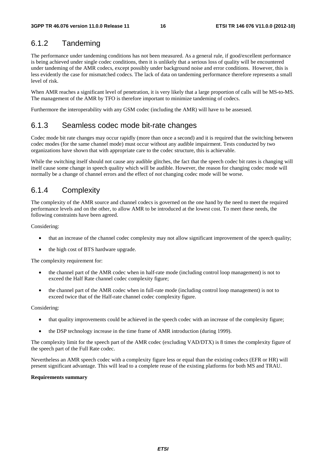### 6.1.2 Tandeming

The performance under tandeming conditions has not been measured. As a general rule, if good/excellent performance is being achieved under single codec conditions, then it is unlikely that a serious loss of quality will be encountered under tandeming of the AMR codecs, except possibly under background noise and error conditions. However, this is less evidently the case for mismatched codecs. The lack of data on tandeming performance therefore represents a small level of risk.

When AMR reaches a significant level of penetration, it is very likely that a large proportion of calls will be MS-to-MS. The management of the AMR by TFO is therefore important to minimize tandeming of codecs.

Furthermore the interoperability with any GSM codec (including the AMR) will have to be assessed.

### 6.1.3 Seamless codec mode bit-rate changes

Codec mode bit rate changes may occur rapidly (more than once a second) and it is required that the switching between codec modes (for the same channel mode) must occur without any audible impairment. Tests conducted by two organizations have shown that with appropriate care to the codec structure, this is achievable.

While the switching itself should not cause any audible glitches, the fact that the speech codec bit rates is changing will itself cause some change in speech quality which will be audible. However, the reason for changing codec mode will normally be a change of channel errors and the effect of *not* changing codec mode will be worse.

### 6.1.4 Complexity

The complexity of the AMR source and channel codecs is governed on the one hand by the need to meet the required performance levels and on the other, to allow AMR to be introduced at the lowest cost. To meet these needs, the following constraints have been agreed.

Considering:

- that an increase of the channel codec complexity may not allow significant improvement of the speech quality;
- the high cost of BTS hardware upgrade.

The complexity requirement for:

- the channel part of the AMR codec when in half-rate mode (including control loop management) is not to exceed the Half Rate channel codec complexity figure;
- the channel part of the AMR codec when in full-rate mode (including control loop management) is not to exceed twice that of the Half-rate channel codec complexity figure.

Considering:

- that quality improvements could be achieved in the speech codec with an increase of the complexity figure;
- the DSP technology increase in the time frame of AMR introduction (during 1999).

The complexity limit for the speech part of the AMR codec (excluding VAD/DTX) is 8 times the complexity figure of the speech part of the Full Rate codec.

Nevertheless an AMR speech codec with a complexity figure less or equal than the existing codecs (EFR or HR) will present significant advantage. This will lead to a complete reuse of the existing platforms for both MS and TRAU.

#### **Requirements summary**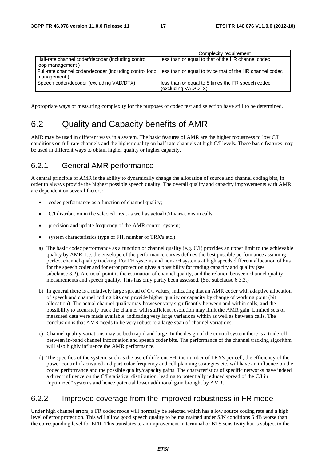|                                                         | Complexity requirement                                   |
|---------------------------------------------------------|----------------------------------------------------------|
| Half-rate channel coder/decoder (including control      | less than or equal to that of the HR channel codec       |
| loop management)                                        |                                                          |
| Full-rate channel coder/decoder (including control loop | less than or equal to twice that of the HR channel codec |
| management)                                             |                                                          |
| Speech coder/decoder (excluding VAD/DTX)                | less than or equal to 8 times the FR speech codec        |
|                                                         | (excluding VAD/DTX)                                      |

Appropriate ways of measuring complexity for the purposes of codec test and selection have still to be determined.

## 6.2 Quality and Capacity benefits of AMR

AMR may be used in different ways in a system. The basic features of AMR are the higher robustness to low C/I conditions on full rate channels and the higher quality on half rate channels at high C/I levels. These basic features may be used in different ways to obtain higher quality or higher capacity.

### 6.2.1 General AMR performance

A central principle of AMR is the ability to dynamically change the allocation of source and channel coding bits, in order to always provide the highest possible speech quality. The overall quality and capacity improvements with AMR are dependent on several factors:

- codec performance as a function of channel quality;
- C/I distribution in the selected area, as well as actual C/I variations in calls;
- precision and update frequency of the AMR control system;
- system characteristics (type of FH, number of TRX's etc.).
- a) The basic codec performance as a function of channel quality (e.g. C/I) provides an upper limit to the achievable quality by AMR. I.e. the envelope of the performance curves defines the best possible performance assuming perfect channel quality tracking. For FH systems and non-FH systems at high speeds different allocation of bits for the speech coder and for error protection gives a possibility for trading capacity and quality (see subclause 3.2). A crucial point is the estimation of channel quality, and the relation between channel quality measurements and speech quality. This has only partly been assessed. (See subclause 6.3.3.)
- b) In general there is a relatively large spread of C/I values, indicating that an AMR coder with adaptive allocation of speech and channel coding bits can provide higher quality or capacity by change of working point (bit allocation). The actual channel quality may however vary significantly between and within calls, and the possibility to accurately track the channel with sufficient resolution may limit the AMR gain. Limited sets of measured data were made available, indicating very large variations within as well as between calls. The conclusion is that AMR needs to be very robust to a large span of channel variations.
- c) Channel quality variations may be both rapid and large. In the design of the control system there is a trade-off between in-band channel information and speech coder bits. The performance of the channel tracking algorithm will also highly influence the AMR performance.
- d) The specifics of the system, such as the use of different FH, the number of TRX's per cell, the efficiency of the power control if activated and particular frequency and cell planning strategies etc. will have an influence on the codec performance and the possible quality/capacity gains. The characteristics of specific networks have indeed a direct influence on the C/I statistical distribution, leading to potentially reduced spread of the C/I in "optimized" systems and hence potential lower additional gain brought by AMR.

### 6.2.2 Improved coverage from the improved robustness in FR mode

Under high channel errors, a FR codec mode will normally be selected which has a low source coding rate and a high level of error protection. This will allow good speech quality to be maintained under S/N conditions 6 dB worse than the corresponding level for EFR. This translates to an improvement in terminal or BTS sensitivity but is subject to the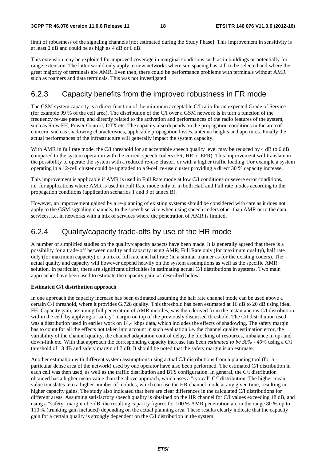limit of robustness of the signaling channels [not estimated during the Study Phase]. This improvement in sensitivity is at least 2 dB and could be as high as 4 dB or 6 dB.

This extension may be exploited for improved coverage in marginal conditions such as in buildings or potentially for range extension. The latter would only apply to new networks where site spacing has still to be selected and where the great majority of terminals are AMR. Even then, there could be performance problems with terminals without AMR such as roamers and data terminals. This was not investigated.

### 6.2.3 Capacity benefits from the improved robustness in FR mode

The GSM system capacity is a direct function of the minimum acceptable C/I ratio for an expected Grade of Service (for example 99 % of the cell area). The distribution of the C/I over a GSM network is in turn a function of the frequency re-use pattern, and directly related to the activation and performances of the radio features of the system, such as Slow FH, Power Control, DTX etc. The capacity also depends on the propagation conditions in the area of concern, such as shadowing characteristics, applicable propagation losses, antenna heights and apertures. Finally the actual performances of the infrastructure will generally impact the system capacity.

With AMR in full rate mode, the C/I threshold for an acceptable speech quality level may be reduced by 4 dB to 6 dB compared to the system operation with the current speech coders (FR, HR or EFR). This improvement will translate in the possibility to operate the system with a reduced re-use cluster, or with a higher traffic loading. For example a system operating in a 12-cell cluster could be upgraded to a 9-cell re-use cluster providing a direct 30 % capacity increase.

This improvement is applicable if AMR is used in Full Rate mode at low C/I conditions or severe error conditions, i.e. for applications where AMR is used in Full Rate mode only or in both Half and Full rate modes according to the propagation conditions (application scenarios 1 and 3 of annex B).

However, an improvement gained by a re-planning of existing systems should be considered with care as it does not apply to the GSM signaling channels, to the speech service when using speech coders other than AMR or to the data services, i.e. in networks with a mix of services where the penetration of AMR is limited.

### 6.2.4 Quality/capacity trade-offs by use of the HR mode

A number of simplified studies on the quality/capacity aspects have been made. It is generally agreed that there is a possibility for a trade-off between quality and capacity using AMR; Full Rate only (for maximum quality), half rate only (for maximum capacity) or a mix of full rate and half rate (in a similar manner as for the existing coders). The actual quality and capacity will however depend heavily on the system assumptions as well as the specific AMR solution. In particular, there are significant difficulties in estimating actual C/I distributions in systems. Two main approaches have been used to estimate the capacity gain, as described below.

#### **Estimated C/I distribution approach**

In one approach the capacity increase has been estimated assuming the half rate channel mode can be used above a certain C/I threshold, where it provides G.728 quality. This threshold has been estimated at 16 dB to 20 dB using ideal FH. Capacity gain, assuming full penetration of AMR mobiles, was then derived from the instantaneous C/I distribution within the cell, by applying a "safety" margin on top of the previously discussed threshold. The C/I distribution used was a distribution used in earlier work on 14,4 kbps data, which includes the effects of shadowing. The safety margin has to count for all the effects not taken into account in such evaluation i.e. the channel quality estimation error, the variability of the channel quality, the channel adaptation control delay, the blocking of resources, imbalance in up- and down-link etc. With that approach the corresponding capacity increase has been *estimated to be 30% - 40%* using a C/I threshold of 18 dB and safety margin of 7 dB. It should be noted that the safety margin is an estimate.

Another estimation with different system assumptions using actual C/I distributions from a planning tool (for a particular dense area of the network) used by one operator have also been performed. The estimated C/I distribution in each cell was then used, as well as the traffic distribution and BTS configuration. In general, the C/I distribution obtained has a higher mean value than the above approach, which uses a "typical" C/I distribution. The higher mean value translates into a higher number of mobiles, which can use the HR channel mode at any given time, resulting in higher capacity gains. The study also indicated that here are clear differences in the calculated C/I distributions for different areas. Assuming satisfactory speech quality is obtained on the HR channel for C/I values exceeding 18 dB, and using a "safety" margin of 7 dB, the resulting capacity figures for 100 % AMR penetration are in the range 80 % up to 110 % (trunking gain included) depending on the actual planning area. These results clearly indicate that the capacity gain for a certain quality is strongly dependent on the C/I distribution in the system.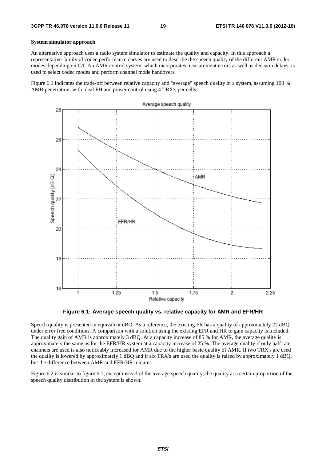#### **System simulator approach**

An alternative approach uses a radio system simulator to estimate the quality and capacity. In this approach a representative family of codec performance curves are used to describe the speech quality of the different AMR codec modes depending on C/I. An AMR control system, which incorporates measurement errors as well as decision delays, is used to select codec modes and perform channel mode handovers.

Figure 6.1 indicates the trade-off between relative capacity and "average" speech quality in a system, assuming 100 % AMR penetration, with ideal FH and power control using 4 TRX's per cells.



**Figure 6.1: Average speech quality vs. relative capacity for AMR and EFR/HR** 

Speech quality is presented in equivalent dBQ. As a reference, the existing FR has a quality of approximately 22 dBQ under error free conditions. A comparison with a solution using the existing EFR and HR to gain capacity is included. The quality gain of AMR is approximately 3 dBQ. At a capacity increase of 85 % for AMR, the average quality is approximately the same as for the EFR/HR system at a capacity increase of 25 %. The average quality if only half rate channels are used is also noticeably increased for AMR due to the higher basic quality of AMR. If two TRX's are used the quality is lowered by approximately 1 dBQ and if six TRX's are used the quality is raised by approximately 1 dBQ, but the difference between AMR and EFR/HR remains.

Figure 6.2 is similar to figure 6.1, except instead of the average speech quality, the quality at a certain proportion of the speech quality distribution in the system is shown.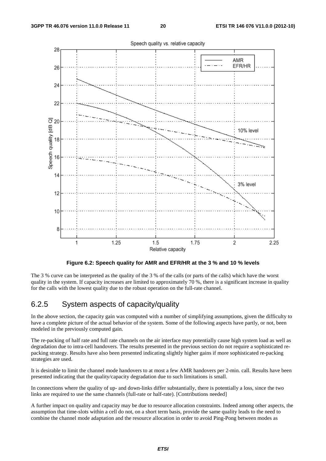

**Figure 6.2: Speech quality for AMR and EFR/HR at the 3 % and 10 % levels** 

The 3 % curve can be interpreted as the quality of the 3 % of the calls (or parts of the calls) which have the worst quality in the system. If capacity increases are limited to approximately 70 %, there is a significant increase in quality for the calls with the lowest quality due to the robust operation on the full-rate channel.

### 6.2.5 System aspects of capacity/quality

In the above section, the capacity gain was computed with a number of simplifying assumptions, given the difficulty to have a complete picture of the actual behavior of the system. Some of the following aspects have partly, or not, been modeled in the previously computed gain.

The re-packing of half rate and full rate channels on the air interface may potentially cause high system load as well as degradation due to intra-cell handovers. The results presented in the previous section do not require a sophisticated repacking strategy. Results have also been presented indicating slightly higher gains if more sophisticated re-packing strategies are used.

It is desirable to limit the channel mode handovers to at most a few AMR handovers per 2-min. call. Results have been presented indicating that the quality/capacity degradation due to such limitations is small.

In connections where the quality of up- and down-links differ substantially, there is potentially a loss, since the two links are required to use the same channels (full-rate or half-rate). [Contributions needed]

A further impact on quality and capacity may be due to resource allocation constraints. Indeed among other aspects, the assumption that time-slots within a cell do not, on a short term basis, provide the same quality leads to the need to combine the channel mode adaptation and the resource allocation in order to avoid Ping-Pong between modes as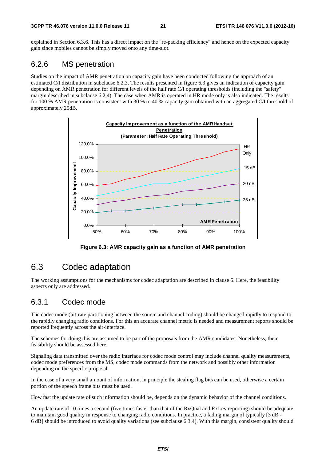explained in Section 6.3.6. This has a direct impact on the "re-packing efficiency" and hence on the expected capacity gain since mobiles cannot be simply moved onto any time-slot.

### 6.2.6 MS penetration

Studies on the impact of AMR penetration on capacity gain have been conducted following the approach of an estimated C/I distribution in subclause 6.2.3. The results presented in figure 6.3 gives an indication of capacity gain depending on AMR penetration for different levels of the half rate C/I operating thresholds (including the "safety" margin described in subclause 6.2.4). The case when AMR is operated in HR mode only is also indicated. The results for 100 % AMR penetration is consistent with 30 % to 40 % capacity gain obtained with an aggregated C/I threshold of approximately 25dB.



**Figure 6.3: AMR capacity gain as a function of AMR penetration** 

## 6.3 Codec adaptation

The working assumptions for the mechanisms for codec adaptation are described in clause 5. Here, the feasibility aspects only are addressed.

### 6.3.1 Codec mode

The codec mode (bit-rate partitioning between the source and channel coding) should be changed rapidly to respond to the rapidly changing radio conditions. For this an accurate channel metric is needed and measurement reports should be reported frequently across the air-interface.

The schemes for doing this are assumed to be part of the proposals from the AMR candidates. Nonetheless, their feasibility should be assessed here.

Signaling data transmitted over the radio interface for codec mode control may include channel quality measurements, codec mode preferences from the MS, codec mode commands from the network and possibly other information depending on the specific proposal.

In the case of a very small amount of information, in principle the stealing flag bits can be used, otherwise a certain portion of the speech frame bits must be used.

How fast the update rate of such information should be, depends on the dynamic behavior of the channel conditions.

An update rate of 10 times a second (five times faster than that of the RxQual and RxLev reporting) should be adequate to maintain good quality in response to changing radio conditions. In practice, a fading margin of typically [3 dB - 6 dB] should be introduced to avoid quality variations (see subclause 6.3.4). With this margin, consistent quality should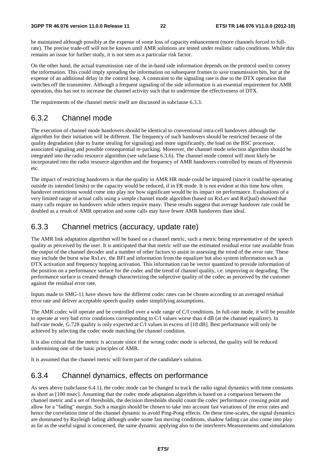be maintained although possibly at the expense of some loss of capacity enhancement (more channels forced to fullrate). The precise trade-off will not be known until AMR solutions are tested under realistic radio conditions. While this remains an issue for further study, it is not seen as a particular risk factor.

On the other hand, the actual transmission rate of the in-band side information depends on the protocol used to convey the information. This could imply spreading the information on subsequent frames to save transmission bits, but at the expense of an additional delay in the control loop. A constraint to the signaling rate is due to the DTX operation that switches off the transmitter. Although a frequent signaling of the side information is an essential requirement for AMR operation, this has not to increase the channel activity such that to undermine the effectiveness of DTX.

The requirements of the channel metric itself are discussed in subclause 6.3.3.

### 6.3.2 Channel mode

The execution of channel mode handovers should be identical to conventional intra-cell handovers although the algorithm for their initiation will be different. The frequency of such handovers should be restricted because of the quality degradation (due to frame stealing for signaling) and more significantly, the load on the BSC processor, associated signaling and possible consequential re-packing. Moreover, the channel mode selection algorithm should be integrated into the radio resource algorithm (see subclause 6.3.6). The channel mode control will most likely be incorporated into the radio resource algorithm and the frequency of AMR handovers controlled by means of Hysteresis etc.

The impact of restricting handovers is that the quality in AMR HR mode could be impaired (since it could be operating outside its intended limits) or the capacity would be reduced, if in FR mode. It is not evident at this time how often handover restrictions would come into play nor how significant would be its impact on performance. Evaluations of a very limited range of actual calls using a simple channel mode algorithm (based on RxLev and RxQual) showed that many calls require no handovers while others require many. These results suggest that average handover rate could be doubled as a result of AMR operation and some calls may have fewer AMR handovers than ideal.

### 6.3.3 Channel metrics (accuracy, update rate)

The AMR link adaptation algorithm will be based on a channel metric, such a metric being representative of the speech quality as perceived by the user. It is anticipated that that metric will use the estimated residual error rate available from the output of the channel decoder and a number of other factors to assist in assessing the trend of the error rate. These may include the burst wise RxLev, the BFI and information from the equalizer but also system information such as DTX activation and frequency hopping activation. This information can be vector quantized to provide information of the position on a performance surface for the codec and the trend of channel quality, i.e. improving or degrading. The performance surface is created through characterizing the subjective quality of the codec as perceived by the customer against the residual error rate.

Inputs made to SMG-11 have shown how the different codec rates can be chosen according to an averaged residual error rate and deliver acceptable speech quality under simplifying assumptions.

The AMR codec will operate and be controlled over a wide range of C/I conditions. In full-rate mode, it will be possible to operate at very bad error conditions corresponding to C/I values worse than 4 dB (at the channel equalizer). In half-rate mode, G.728 quality is only expected at C/I values in excess of [18 dB]. Best performance will only be achieved by selecting the codec mode matching the channel condition.

It is also critical that the metric is accurate since if the wrong codec mode is selected, the quality will be reduced undermining one of the basic principles of AMR.

It is assumed that the channel metric will form part of the candidate's solution.

### 6.3.4 Channel dynamics, effects on performance

As seen above (subclause 6.4.1), the codec mode can be changed to track the radio signal dynamics with time constants as short as [100 msec]. Assuming that the codec mode adaptation algorithm is based on a comparison between the channel metric and a set of thresholds, the decision thresholds should count the codec performance crossing point and allow for a "fading" margin. Such a margin should be chosen to take into account fast variations of the error rates and hence the correlation time of the channel dynamic to avoid Ping-Pong effects. On these time-scales, the signal dynamics are dominated by Rayleigh fading although under some fast moving conditions, shadow fading can also come into play as far as the useful signal is concerned, the same dynamic applying also to the interferers Measurements and simulations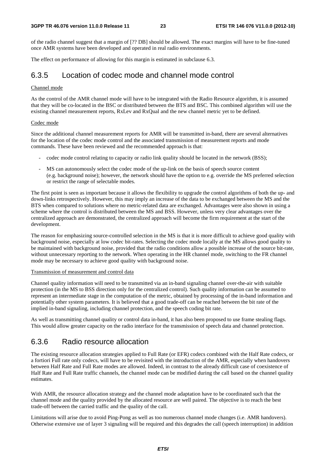of the radio channel suggest that a margin of [?? DB] should be allowed. The exact margins will have to be fine-tuned once AMR systems have been developed and operated in real radio environments.

The effect on performance of allowing for this margin is estimated in subclause 6.3.

### 6.3.5 Location of codec mode and channel mode control

#### Channel mode

As the control of the AMR channel mode will have to be integrated with the Radio Resource algorithm, it is assumed that they will be co-located in the BSC or distributed between the BTS and BSC. This combined algorithm will use the existing channel measurement reports, RxLev and RxQual and the new channel metric yet to be defined.

#### Codec mode

Since the additional channel measurement reports for AMR will be transmitted in-band, there are several alternatives for the location of the codec mode control and the associated transmission of measurement reports and mode commands. These have been reviewed and the recommended approach is that:

- codec mode control relating to capacity or radio link quality should be located in the network (BSS);
- MS can autonomously select the codec mode of the up-link on the basis of speech source content (e.g. background noise); however, the network should have the option to e.g. override the MS preferred selection or restrict the range of selectable modes.

The first point is seen as important because it allows the flexibility to upgrade the control algorithms of both the up- and down-links retrospectively. However, this may imply an increase of the data to be exchanged between the MS and the BTS when compared to solutions where no metric-related data are exchanged. Advantages were also shown in using a scheme where the control is distributed between the MS and BSS. However, unless very clear advantages over the centralized approach are demonstrated, the centralized approach will become the firm requirement at the start of the development.

The reason for emphasizing source-controlled selection in the MS is that it is more difficult to achieve good quality with background noise, especially at low codec bit-rates. Selecting the codec mode locally at the MS allows good quality to be maintained with background noise, provided that the radio conditions allow a possible increase of the source bit-rate, without unnecessary reporting to the network. When operating in the HR channel mode, switching to the FR channel mode may be necessary to achieve good quality with background noise.

#### Transmission of measurement and control data

Channel quality information will need to be transmitted via an in-band signaling channel over-the-air with suitable protection (in the MS to BSS direction only for the centralized control). Such quality information can be assumed to represent an intermediate stage in the computation of the metric, obtained by processing of the in-band information and potentially other system parameters. It is believed that a good trade-off can be reached between the bit rate of the implied in-band signaling, including channel protection, and the speech coding bit rate.

As well as transmitting channel quality or control data in-band, it has also been proposed to use frame stealing flags. This would allow greater capacity on the radio interface for the transmission of speech data and channel protection.

### 6.3.6 Radio resource allocation

The existing resource allocation strategies applied to Full Rate (or EFR) codecs combined with the Half Rate codecs, or a fortiori Full rate only codecs, will have to be revisited with the introduction of the AMR, especially when handovers between Half Rate and Full Rate modes are allowed. Indeed, in contrast to the already difficult case of coexistence of Half Rate and Full Rate traffic channels, the channel mode can be modified during the call based on the channel quality estimates.

With AMR, the resource allocation strategy and the channel mode adaptation have to be coordinated such that the channel mode and the quality provided by the allocated resource are well paired. The objective is to reach the best trade-off between the carried traffic and the quality of the call.

Limitations will arise due to avoid Ping-Pong as well as too numerous channel mode changes (i.e. AMR handovers). Otherwise extensive use of layer 3 signaling will be required and this degrades the call (speech interruption) in addition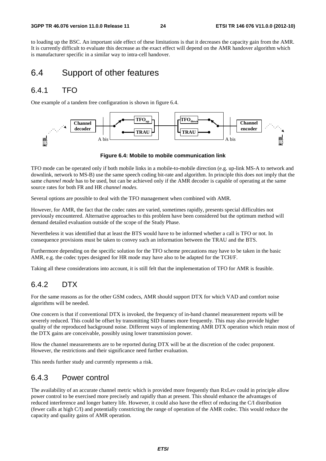to loading up the BSC. An important side effect of these limitations is that it decreases the capacity gain from the AMR. It is currently difficult to evaluate this decrease as the exact effect will depend on the AMR handover algorithm which is manufacturer specific in a similar way to intra-cell handover.

### 6.4 Support of other features

### 6.4.1 TFO

One example of a tandem free configuration is shown in figure 6.4.



**Figure 6.4: Mobile to mobile communication link** 

TFO mode can be operated only if both mobile links in a mobile-to-mobile direction (e.g. up-link MS-A to network and downlink, network to MS-B) use the same speech coding bit-rate and algorithm. In principle this does not imply that the same *channel mode* has to be used, but can be achieved only if the AMR decoder is capable of operating at the same source rates for both FR and HR *channel modes.*

Several options are possible to deal with the TFO management when combined with AMR.

However, for AMR, the fact that the codec rates are varied, sometimes rapidly, presents special difficulties not previously encountered. Alternative approaches to this problem have been considered but the optimum method will demand detailed evaluation outside of the scope of the Study Phase.

Nevertheless it was identified that at least the BTS would have to be informed whether a call is TFO or not. In consequence provisions must be taken to convey such an information between the TRAU and the BTS.

Furthermore depending on the specific solution for the TFO scheme precautions may have to be taken in the basic AMR, e.g. the codec types designed for HR mode may have also to be adapted for the TCH/F.

Taking all these considerations into account, it is still felt that the implementation of TFO for AMR is feasible.

### 6.4.2 DTX

For the same reasons as for the other GSM codecs, AMR should support DTX for which VAD and comfort noise algorithms will be needed.

One concern is that if conventional DTX is invoked, the frequency of in-band channel measurement reports will be severely reduced. This could be offset by transmitting SID frames more frequently. This may also provide higher quality of the reproduced background noise. Different ways of implementing AMR DTX operation which retain most of the DTX gains are conceivable, possibly using lower transmission power.

How the channel measurements are to be reported during DTX will be at the discretion of the codec proponent. However, the restrictions and their significance need further evaluation.

This needs further study and currently represents a risk.

### 6.4.3 Power control

The availability of an accurate channel metric which is provided more frequently than RxLev could in principle allow power control to be exercised more precisely and rapidly than at present. This should enhance the advantages of reduced interference and longer battery life*.* However, it could also have the effect of reducing the C/I distribution (fewer calls at high C/I) and potentially constricting the range of operation of the AMR codec. This would reduce the capacity and quality gains of AMR operation.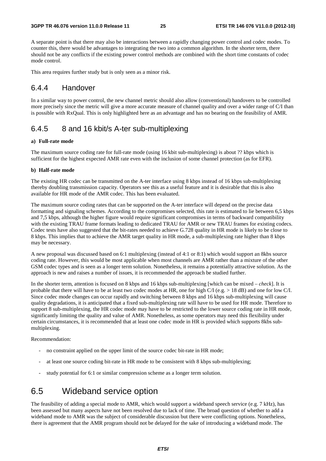A separate point is that there may also be interactions between a rapidly changing power control and codec modes. To counter this, there would be advantages to integrating the two into a common algorithm. In the shorter term, there should not be any conflicts if the existing power control methods are combined with the short time constants of codec mode control.

This area requires further study but is only seen as a minor risk.

### 6.4.4 Handover

In a similar way to power control, the new channel metric should also allow (conventional) handovers to be controlled more precisely since the metric will give a more accurate measure of channel quality and over a wider range of C/I than is possible with RxQual. This is only highlighted here as an advantage and has no bearing on the feasibility of AMR.

### 6.4.5 8 and 16 kbit/s A-ter sub-multiplexing

#### **a) Full-rate mode**

The maximum source coding rate for full-rate mode (using 16 kbit sub-multiplexing) is about ?? kbps which is sufficient for the highest expected AMR rate even with the inclusion of some channel protection (as for EFR).

#### **b) Half-rate mode**

The existing HR codec can be transmitted on the A-ter interface using 8 kbps instead of 16 kbps sub-multiplexing thereby doubling transmission capacity. Operators see this as a useful feature and it is desirable that this is also available for HR mode of the AMR codec. This has been evaluated.

The maximum source coding rates that can be supported on the A-ter interface will depend on the precise data formatting and signaling schemes. According to the compromises selected, this rate is estimated to lie between 6,5 kbps and 7,5 kbps, although the higher figure would require significant compromises in terms of backward compatibility with the existing TRAU frame formats leading to dedicated TRAU for AMR or new TRAU frames for existing codecs. Codec tests have also suggested that the bit-rates needed to achieve G.728 quality in HR mode is likely to be close to 8 kbps. This implies that to achieve the AMR target quality in HR mode, a sub-multiplexing rate higher than 8 kbps may be necessary.

A new proposal was discussed based on 6:1 multiplexing (instead of 4:1 or 8:1) which would support an 8kbs source coding rate. However, this would be most applicable when most channels are AMR rather than a mixture of the other GSM codec types and is seen as a longer term solution. Nonetheless, it remains a potentially attractive solution. As the approach is new and raises a number of issues, it is recommended the approach be studied further.

In the shorter term, attention is focused on 8 kbps and 16 kbps sub-multiplexing [which can be mixed *– check*]. It is probable that there will have to be at least two codec modes at HR, one for high C/I (e.g. > 18 dB) and one for low C/I. Since codec mode changes can occur rapidly and switching between 8 kbps and 16 kbps sub-multiplexing will cause quality degradations, it is anticipated that a fixed sub-multiplexing rate will have to be used for HR mode. Therefore to support 8 sub-multiplexing, the HR codec mode may have to be restricted to the lower source coding rate in HR mode, significantly limiting the quality and value of AMR. Nonetheless, as some operators may need this flexibility under certain circumstances, it is recommended that at least one codec mode in HR is provided which supports 8kbs submultiplexing.

Recommendation:

- no constraint applied on the upper limit of the source codec bit-rate in HR mode;
- at least one source coding bit-rate in HR mode to be consistent with 8 kbps sub-multiplexing;
- study potential for 6:1 or similar compression scheme as a longer term solution.

### 6.5 Wideband service option

The feasibility of adding a special mode to AMR, which would support a wideband speech service (e.g. 7 kHz), has been assessed but many aspects have not been resolved due to lack of time. The broad question of whether to add a wideband mode to AMR was the subject of considerable discussion but there were conflicting options. Nonetheless, there is agreement that the AMR program should not be delayed for the sake of introducing a wideband mode. The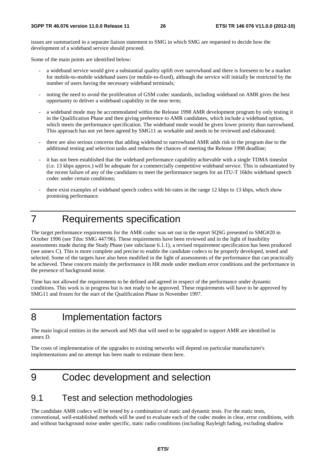issues are summarized in a separate liaison statement to SMG in which SMG are requested to decide how the development of a wideband service should proceed.

Some of the main points are identified below:

- a wideband service would give a substantial quality uplift over narrowband and there is foreseen to be a market for mobile-to-mobile wideband users (or mobile-to-fixed), although the service will initially be restricted by the number of users having the necessary wideband terminals;
- noting the need to avoid the proliferation of GSM codec standards, including wideband on AMR gives the best opportunity to deliver a wideband capability in the near term;
- a wideband mode may be accommodated within the Release 1998 AMR development program by only testing it in the Qualification Phase and then giving preference to AMR candidates, which include a wideband option, which meets the performance specification. The wideband mode would be given lower priority than narrowband. This approach has not yet been agreed by SMG11 as workable and needs to be reviewed and elaborated;
- there are also serious concerns that adding wideband to narrowband AMR adds risk to the program due to the additional testing and selection tasks and reduces the chances of meeting the Release 1998 deadline;
- it has not been established that the wideband performance capability achievable with a single TDMA timeslot (i.e. 13 kbps approx.) will be adequate for a commercially competitive wideband service. This is substantiated by the recent failure of any of the candidates to meet the performance targets for an ITU-T 16kbs wideband speech codec under certain conditions;
- there exist examples of wideband speech codecs with bit-rates in the range 12 kbps to 13 kbps, which show promising performance.

## 7 Requirements specification

The target performance requirements for the AMR codec was set out in the report SQSG presented to SMG#20 in October 1996 (see Tdoc SMG 447/96). These requirements have been reviewed and in the light of feasibility assessments made during the Study Phase (see subclause 6.1.1), a revised requirement specification has been produced (see annex C). This is more complete and precise to enable the candidate codecs to be properly developed, tested and selected. Some of the targets have also been modified in the light of assessments of the performance that can practically be achieved. These concern mainly the performance in HR mode under medium error conditions and the performance in the presence of background noise.

Time has not allowed the requirements to be defined and agreed in respect of the performance under dynamic conditions. This work is in progress but is not ready to be approved. These requirements will have to be approved by SMG11 and frozen for the start of the Qualification Phase in November 1997.

## 8 Implementation factors

The main logical entities in the network and MS that will need to be upgraded to support AMR are identified in annex D.

The costs of implementation of the upgrades to existing networks will depend on particular manufacturer's implementations and no attempt has been made to estimate them here.

9 Codec development and selection

## 9.1 Test and selection methodologies

The candidate AMR codecs will be tested by a combination of static and dynamic tests. For the static tests, conventional, well-established methods will be used to evaluate each of the codec modes in clear, error conditions, with and without background noise under specific, static radio conditions (including Rayleigh fading, excluding shadow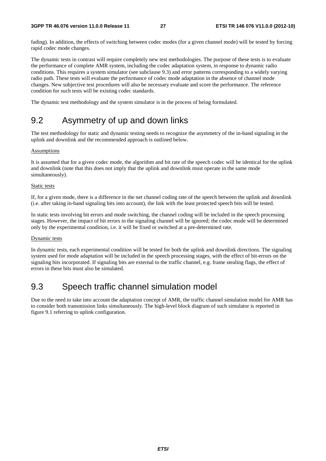fading). In addition, the effects of switching between codec modes (for a given channel mode) will be tested by forcing rapid codec mode changes.

The dynamic tests in contrast will require completely new test methodologies. The purpose of these tests is to evaluate the performance of complete AMR system, including the codec adaptation system, in response to dynamic radio conditions. This requires a system simulator (see subclause 9.3) and error patterns corresponding to a widely varying radio path. These tests will evaluate the performance of codec mode adaptation in the absence of channel mode changes. New subjective test procedures will also be necessary evaluate and score the performance. The reference condition for such tests will be existing codec standards.

The dynamic test methodology and the system simulator is in the process of being formulated.

## 9.2 Asymmetry of up and down links

The test methodology for static and dynamic testing needs to recognize the asymmetry of the in-band signaling in the uplink and downlink and the recommended approach is outlined below.

#### **Assumptions**

It is assumed that for a given codec mode, the algorithm and bit rate of the speech codec will be identical for the uplink and downlink (note that this does not imply that the uplink and downlink must operate in the same mode simultaneously).

#### Static tests

If, for a given mode, there is a difference in the net channel coding rate of the speech between the uplink and downlink (i.e. after taking in-band signaling bits into account), the link with the least protected speech bits will be tested.

In static tests involving bit errors and mode switching, the channel coding will be included in the speech processing stages. However, the impact of bit errors in the signaling channel will be ignored; the codec mode will be determined only by the experimental condition, i.e. it will be fixed or switched at a pre-determined rate.

#### Dynamic tests

In dynamic tests, each experimental condition will be tested for both the uplink and downlink directions. The signaling system used for mode adaptation will be included in the speech processing stages, with the effect of bit-errors on the signaling bits incorporated. If signaling bits are external to the traffic channel, e.g. frame stealing flags, the effect of errors in these bits must also be simulated.

## 9.3 Speech traffic channel simulation model

Due to the need to take into account the adaptation concept of AMR, the traffic channel simulation model for AMR has to consider both transmission links simultaneously. The high-level block diagram of such simulator is reported in figure 9.1 referring to uplink configuration.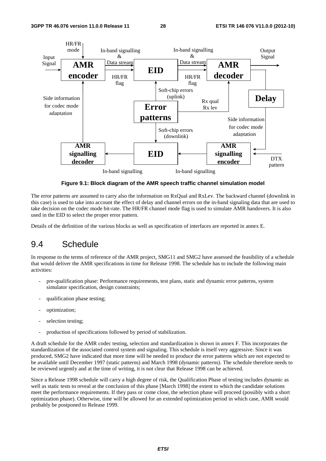

**Figure 9.1: Block diagram of the AMR speech traffic channel simulation model** 

The error patterns are assumed to carry also the information on RxQual and RxLev. The backward channel (downlink in this case) is used to take into account the effect of delay and channel errors on the in-band signaling data that are used to take decision on the codec mode bit-rate. The HR/FR channel mode flag is used to simulate AMR handovers. It is also used in the EID to select the proper error pattern.

Details of the definition of the various blocks as well as specification of interfaces are reported in annex E.

## 9.4 Schedule

In response to the terms of reference of the AMR project, SMG11 and SMG2 have assessed the feasibility of a schedule that would deliver the AMR specifications in time for Release 1998. The schedule has to include the following main activities:

- pre-qualification phase: Performance requirements, test plans, static and dynamic error patterns, system simulator specification, design constraints;
- qualification phase testing;
- optimization;
- selection testing;
- production of specifications followed by period of stabilization.

A draft schedule for the AMR codec testing, selection and standardization is shown in annex F. This incorporates the standardization of the associated control system and signaling. This schedule is itself very aggressive. Since it was produced, SMG2 have indicated that more time will be needed to produce the error patterns which are not expected to be available until December 1997 (static patterns) and March 1998 (dynamic patterns). The schedule therefore needs to be reviewed urgently and at the time of writing, it is not clear that Release 1998 can be achieved.

Since a Release 1998 schedule will carry a high degree of risk, the Qualification Phase of testing includes dynamic as well as static tests to reveal at the conclusion of this phase [March 1998] the extent to which the candidate solutions meet the performance requirements. If they pass or come close, the selection phase will proceed (possibly with a short optimization phase). Otherwise, time will be allowed for an extended optimization period in which case, AMR would probably be postponed to Release 1999.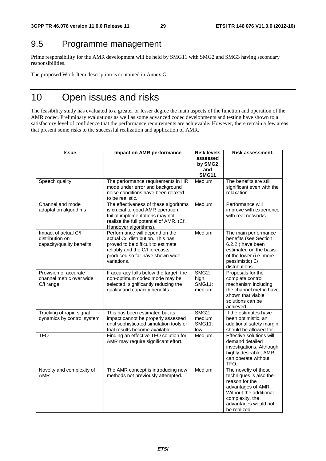## 9.5 Programme management

Prime responsibility for the AMR development will be held by SMG11 with SMG2 and SMG3 having secondary responsibilities.

The proposed Work Item description is contained in Annex G.

## 10 Open issues and risks

The feasibility study has evaluated to a greater or lesser degree the main aspects of the function and operation of the AMR codec. Preliminary evaluations as well as some advanced codec developments and testing have shown to a satisfactory level of confidence that the performance requirements are achievable. However, there remain a few areas that present some risks to the successful realization and application of AMR.

| Issue                                                                | Impact on AMR performance                                                                                                                                                                     | <b>Risk levels</b><br>assessed           | Risk assessment.                                                                                                                                                            |
|----------------------------------------------------------------------|-----------------------------------------------------------------------------------------------------------------------------------------------------------------------------------------------|------------------------------------------|-----------------------------------------------------------------------------------------------------------------------------------------------------------------------------|
|                                                                      |                                                                                                                                                                                               | by SMG2                                  |                                                                                                                                                                             |
|                                                                      |                                                                                                                                                                                               | and<br><b>SMG11</b>                      |                                                                                                                                                                             |
| Speech quality                                                       | The performance requirements in HR<br>mode under error and background<br>noise conditions have been relaxed<br>to be realistic.                                                               | Medium                                   | The benefits are still<br>significant even with the<br>relaxation.                                                                                                          |
| Channel and mode<br>adaptation algorithms                            | The effectiveness of these algorithms<br>is crucial to good AMR operation.<br>Initial implementations may not<br>realize the full potential of AMR. (Cf.<br>Handover algorithms).             | Medium                                   | Performance will<br>improve with experience<br>with real networks.                                                                                                          |
| Impact of actual C/I<br>distribution on<br>capacity/quality benefits | Performance will depend on the<br>actual C/I distribution. This has<br>proved to be difficult to estimate<br>reliably and the C/I forecasts<br>produced so far have shown wide<br>variations. | Medium                                   | The main performance<br>benefits (see Section<br>6.2.2.) have been<br>estimated on the basis<br>of the lower (i.e. more<br>pessimistic) C/I<br>distributions.               |
| Provision of accurate<br>channel metric over wide<br>C/I range       | If accuracy falls below the target, the<br>non-optimum codec mode may be<br>selected, significantly reducing the<br>quality and capacity benefits.                                            | SMG2:<br>high<br><b>SMG11:</b><br>medium | Proposals for the<br>complete control<br>mechanism including<br>the channel metric have<br>shown that viable<br>solutions can be<br>achieved.                               |
| Tracking of rapid signal<br>dynamics by control system               | This has been estimated but its<br>impact cannot be properly assessed<br>until sophisticated simulation tools or<br>trial results become available.                                           | SMG2:<br>medium<br><b>SMG11:</b><br>low  | If the estimates have<br>been optimistic, an<br>additional safety margin<br>should be allowed for.                                                                          |
| <b>TFO</b>                                                           | Finding an effective TFO solution for<br>AMR may require significant effort.                                                                                                                  | Medium.                                  | Effective solutions will<br>demand detailed<br>investigations. Although<br>highly desirable, AMR<br>can operate without<br>TFO.                                             |
| Novelty and complexity of<br><b>AMR</b>                              | The AMR concept is introducing new<br>methods not previously attempted.                                                                                                                       | Medium                                   | The novelty of these<br>techniques is also the<br>reason for the<br>advantages of AMR.<br>Without the additional<br>complexity, the<br>advantages would not<br>be realized. |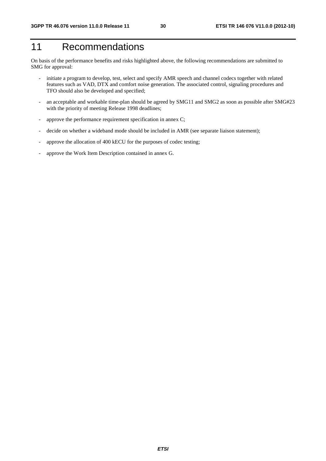## 11 Recommendations

On basis of the performance benefits and risks highlighted above, the following recommendations are submitted to SMG for approval:

- initiate a program to develop, test, select and specify AMR speech and channel codecs together with related features such as VAD, DTX and comfort noise generation. The associated control, signaling procedures and TFO should also be developed and specified;
- an acceptable and workable time-plan should be agreed by SMG11 and SMG2 as soon as possible after SMG#23 with the priority of meeting Release 1998 deadlines;
- approve the performance requirement specification in annex C;
- decide on whether a wideband mode should be included in AMR (see separate liaison statement);
- approve the allocation of 400 kECU for the purposes of codec testing;
- approve the Work Item Description contained in annex G.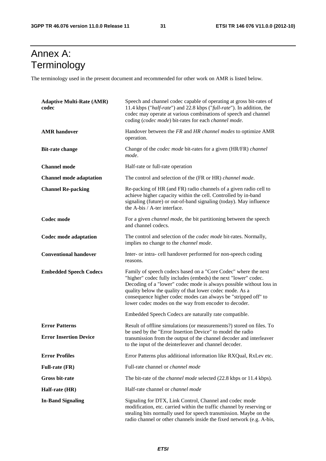## Annex A: Terminology

The terminology used in the present document and recommended for other work on AMR is listed below.

| <b>Adaptive Multi-Rate (AMR)</b><br>codec | Speech and channel codec capable of operating at gross bit-rates of<br>11.4 kbps ("half-rate") and 22.8 kbps ("full-rate"). In addition, the<br>codec may operate at various combinations of speech and channel<br>coding (codec mode) bit-rates for each channel mode.                                                                                                                        |  |
|-------------------------------------------|------------------------------------------------------------------------------------------------------------------------------------------------------------------------------------------------------------------------------------------------------------------------------------------------------------------------------------------------------------------------------------------------|--|
| <b>AMR</b> handover                       | Handover between the FR and HR channel modes to optimize AMR<br>operation.                                                                                                                                                                                                                                                                                                                     |  |
| <b>Bit-rate change</b>                    | Change of the <i>codec mode</i> bit-rates for a given (HR/FR) <i>channel</i><br>mode.                                                                                                                                                                                                                                                                                                          |  |
| <b>Channel mode</b>                       | Half-rate or full-rate operation                                                                                                                                                                                                                                                                                                                                                               |  |
| <b>Channel mode adaptation</b>            | The control and selection of the (FR or HR) channel mode.                                                                                                                                                                                                                                                                                                                                      |  |
| <b>Channel Re-packing</b>                 | Re-packing of HR (and FR) radio channels of a given radio cell to<br>achieve higher capacity within the cell. Controlled by in-band<br>signaling (future) or out-of-band signaling (today). May influence<br>the A-bis / A-ter interface.                                                                                                                                                      |  |
| Codec mode                                | For a given <i>channel mode</i> , the bit partitioning between the speech<br>and channel codecs.                                                                                                                                                                                                                                                                                               |  |
| Codec mode adaptation                     | The control and selection of the <i>codec mode</i> bit-rates. Normally,<br>implies no change to the <i>channel mode</i> .                                                                                                                                                                                                                                                                      |  |
| <b>Conventional handover</b>              | Inter- or intra- cell handover performed for non-speech coding<br>reasons.                                                                                                                                                                                                                                                                                                                     |  |
| <b>Embedded Speech Codecs</b>             | Family of speech codecs based on a "Core Codec" where the next<br>"higher" codec fully includes (embeds) the next "lower" codec.<br>Decoding of a "lower" codec mode is always possible without loss in<br>quality below the quality of that lower codec mode. As a<br>consequence higher codec modes can always be "stripped off" to<br>lower codec modes on the way from encoder to decoder. |  |
|                                           | Embedded Speech Codecs are naturally rate compatible.                                                                                                                                                                                                                                                                                                                                          |  |
| <b>Error Patterns</b>                     | Result of offline simulations (or measurements?) stored on files. To                                                                                                                                                                                                                                                                                                                           |  |
| <b>Error Insertion Device</b>             | be used by the "Error Insertion Device" to model the radio<br>transmission from the output of the channel decoder and interleaver<br>to the input of the deinterleaver and channel decoder.                                                                                                                                                                                                    |  |
| <b>Error Profiles</b>                     | Error Patterns plus additional information like RXQual, RxLev etc.                                                                                                                                                                                                                                                                                                                             |  |
| <b>Full-rate (FR)</b>                     | Full-rate channel or <i>channel mode</i>                                                                                                                                                                                                                                                                                                                                                       |  |
| <b>Gross bit-rate</b>                     | The bit-rate of the <i>channel mode</i> selected (22.8 kbps or 11.4 kbps).                                                                                                                                                                                                                                                                                                                     |  |
| Half-rate (HR)                            | Half-rate channel or <i>channel mode</i>                                                                                                                                                                                                                                                                                                                                                       |  |
| <b>In-Band Signaling</b>                  | Signaling for DTX, Link Control, Channel and codec mode<br>modification, etc. carried within the traffic channel by reserving or<br>stealing bits normally used for speech transmission. Maybe on the<br>radio channel or other channels inside the fixed network (e.g. A-bis,                                                                                                                 |  |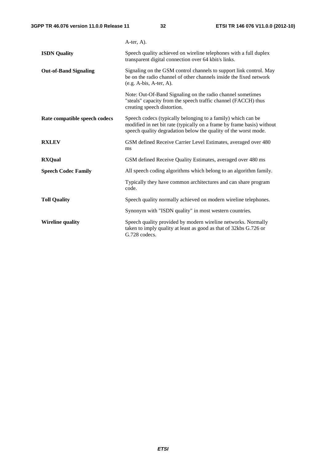|                               | $A$ -ter, $A$ ).                                                                                                                                                                                          |
|-------------------------------|-----------------------------------------------------------------------------------------------------------------------------------------------------------------------------------------------------------|
| <b>ISDN</b> Quality           | Speech quality achieved on wireline telephones with a full duplex<br>transparent digital connection over 64 kbit/s links.                                                                                 |
| <b>Out-of-Band Signaling</b>  | Signaling on the GSM control channels to support link control. May<br>be on the radio channel of other channels inside the fixed network<br>$(e.g. A-bis, A-ter, A).$                                     |
|                               | Note: Out-Of-Band Signaling on the radio channel sometimes<br>"steals" capacity from the speech traffic channel (FACCH) thus<br>creating speech distortion.                                               |
| Rate compatible speech codecs | Speech codecs (typically belonging to a family) which can be<br>modified in net bit rate (typically on a frame by frame basis) without<br>speech quality degradation below the quality of the worst mode. |
| <b>RXLEV</b>                  | GSM defined Receive Carrier Level Estimates, averaged over 480<br>ms                                                                                                                                      |
| <b>RXQual</b>                 | GSM defined Receive Quality Estimates, averaged over 480 ms                                                                                                                                               |
| <b>Speech Codec Family</b>    | All speech coding algorithms which belong to an algorithm family.                                                                                                                                         |
|                               | Typically they have common architectures and can share program<br>code.                                                                                                                                   |
| <b>Toll Quality</b>           | Speech quality normally achieved on modern wireline telephones.                                                                                                                                           |
|                               | Synonym with "ISDN quality" in most western countries.                                                                                                                                                    |
| <b>Wireline quality</b>       | Speech quality provided by modern wireline networks. Normally<br>taken to imply quality at least as good as that of 32kbs G.726 or<br>G.728 codecs.                                                       |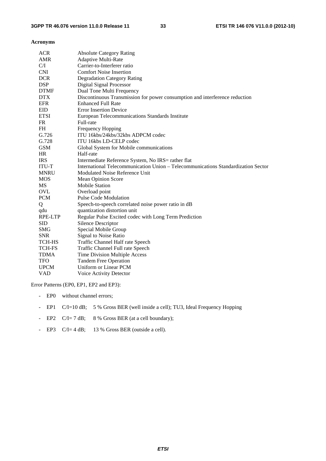#### **Acronyms**

| <b>ACR</b><br><b>Absolute Category Rating</b>                                                     |  |
|---------------------------------------------------------------------------------------------------|--|
| <b>AMR</b><br><b>Adaptive Multi-Rate</b>                                                          |  |
| Carrier-to-Interferer ratio<br>C/I                                                                |  |
| <b>CNI</b><br><b>Comfort Noise Insertion</b>                                                      |  |
| <b>DCR</b><br><b>Degradation Category Rating</b>                                                  |  |
| <b>DSP</b><br><b>Digital Signal Processor</b>                                                     |  |
| <b>DTMF</b><br>Dual Tone Multi Frequency                                                          |  |
| <b>DTX</b><br>Discontinuous Transmission for power consumption and interference reduction         |  |
| <b>EFR</b><br><b>Enhanced Full Rate</b>                                                           |  |
| <b>EID</b><br><b>Error Insertion Device</b>                                                       |  |
| <b>ETSI</b><br>European Telecommunications Standards Institute                                    |  |
| <b>FR</b><br>Full-rate                                                                            |  |
| <b>FH</b><br>Frequency Hopping                                                                    |  |
| G.726<br>ITU 16kbs/24kbs/32kbs ADPCM codec                                                        |  |
| G.728<br>ITU 16kbs LD-CELP codec                                                                  |  |
| <b>GSM</b><br>Global System for Mobile communications                                             |  |
| Half-rate<br>HR                                                                                   |  |
| <b>IRS</b><br>Intermediate Reference System, No IRS= rather flat                                  |  |
| International Telecommunication Union - Telecommunications Standardization Sector<br><b>ITU-T</b> |  |
| Modulated Noise Reference Unit<br><b>MNRU</b>                                                     |  |
| <b>MOS</b><br><b>Mean Opinion Score</b>                                                           |  |
| MS<br><b>Mobile Station</b>                                                                       |  |
| <b>OVL</b><br>Overload point                                                                      |  |
| <b>PCM</b><br><b>Pulse Code Modulation</b>                                                        |  |
| Speech-to-speech correlated noise power ratio in dB<br>Q                                          |  |
| quantization distortion unit<br>qdu                                                               |  |
| RPE-LTP<br>Regular Pulse Excited codec with Long Term Prediction                                  |  |
| <b>SID</b><br><b>Silence Descriptor</b>                                                           |  |
| Special Mobile Group<br><b>SMG</b>                                                                |  |
| <b>SNR</b><br>Signal to Noise Ratio                                                               |  |
| <b>TCH-HS</b><br>Traffic Channel Half rate Speech                                                 |  |
| <b>TCH-FS</b><br>Traffic Channel Full rate Speech                                                 |  |
| Time Division Multiple Access<br><b>TDMA</b>                                                      |  |
| <b>Tandem Free Operation</b><br><b>TFO</b>                                                        |  |
| Uniform or Linear PCM<br><b>UPCM</b>                                                              |  |
| <b>VAD</b><br>Voice Activity Detector                                                             |  |

Error Patterns (EP0, EP1, EP2 and EP3):

- EP0 without channel errors;
- EP1 C/I=10 dB; 5 % Gross BER (well inside a cell); TU3, Ideal Frequency Hopping
- EP2 C/I= 7 dB; 8 % Gross BER (at a cell boundary);
- EP3 C/I= 4 dB; 13 % Gross BER (outside a cell).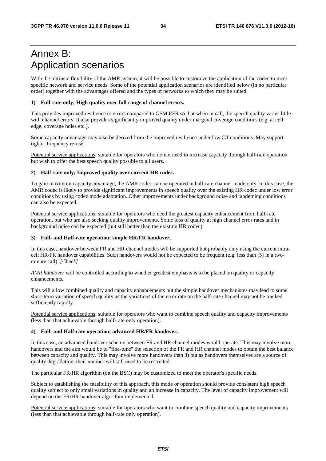## Annex B: Application scenarios

With the intrinsic flexibility of the AMR system, it will be possible to customize the application of the codec to meet specific network and service needs. Some of the potential application scenarios are identified below (in no particular order) together with the advantages offered and the types of networks to which they may be suited.

#### **1) Full-rate only; High quality over full range of channel errors.**

This provides improved resilience to errors compared to GSM EFR so that when in call, the speech quality varies little with channel errors. It also provides significantly improved quality under marginal coverage conditions (e.g. at cell edge, coverage holes etc.).

Some capacity advantage may also be derived from the improved resilience under low C/I conditions. May support tighter frequency re-use.

Potential service applications: suitable for operators who do not need to increase capacity through half-rate operation but wish to offer the best speech quality possible to all users.

#### **2) Half-rate only; Improved quality over current HR codec.**

To gain maximum capacity advantage, the AMR codec can be operated in half-rate channel mode only. In this case, the AMR codec is likely to provide significant improvements in speech quality over the existing HR codec under low error conditions by using codec mode adaptation. Other improvements under background noise and tandeming conditions can also be expected.

Potential service applications: suitable for operators who need the greatest capacity enhancement from half-rate operation, but who are also seeking quality improvements. Some loss of quality at high channel error rates and in background noise can be expected (but still better than the existing HR codec).

#### **3) Full- and Half-rate operation; simple HR/FR handover.**

In this case, handover between FR and HR channel modes will be supported but probably only using the current intracell HR/FR handover capabilities. Such handovers would not be expected to be frequent (e.g. less than [5] in a twominute call). *[Check]* 

*AMR handover* will be controlled according to whether greatest emphasis is to be placed on quality or capacity enhancements.

This will allow combined quality and capacity enhancements but the simple handover mechanisms may lead to some short-term variation of speech quality as the variations of the error rate on the half-rate channel may not be tracked sufficiently rapidly.

Potential service applications: suitable for operators who want to combine speech quality and capacity improvements (less than that achievable through half-rate only operation).

#### **4) Full- and Half-rate operation; advanced HR/FR handover.**

In this case, an advanced handover scheme between FR and HR channel modes would operate. This may involve more handovers and the aim would be to "fine-tune" the selection of the FR and HR channel modes to obtain the best balance between capacity and quality. This may involve more handovers than 3) but as handovers themselves are a source of quality degradation, their number will still need to be restricted.

The particular FR/HR algorithm (on the BSC) may be customized to meet the operator's specific needs.

Subject to establishing the feasibility of this approach, this mode or operation should provide consistent high speech quality subject to only small variations in quality and an increase in capacity. The level of capacity improvement will depend on the FR/HR handover algorithm implemented.

Potential service applications: suitable for operators who want to combine speech quality and capacity improvements (less than that achievable through half-rate only operation).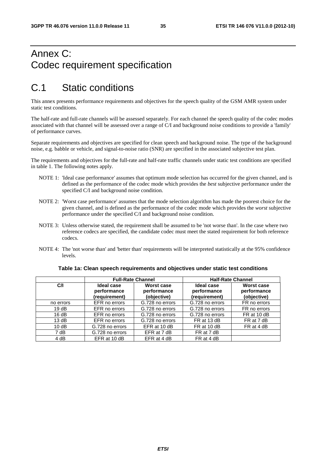## Annex C: Codec requirement specification

## C.1 Static conditions

This annex presents performance requirements and objectives for the speech quality of the GSM AMR system under static test conditions.

The half-rate and full-rate channels will be assessed separately. For each channel the speech quality of the codec modes associated with that channel will be assessed over a range of C/I and background noise conditions to provide a 'family' of performance curves.

Separate requirements and objectives are specified for clean speech and background noise. The type of the background noise, e.g. babble or vehicle, and signal-to-noise ratio (SNR) are specified in the associated subjective test plan.

The requirements and objectives for the full-rate and half-rate traffic channels under static test conditions are specified in table 1. The following notes apply.

- NOTE 1: 'Ideal case performance' assumes that optimum mode selection has occurred for the given channel, and is defined as the performance of the codec mode which provides the *best* subjective performance under the specified C/I and background noise condition.
- NOTE 2: 'Worst case performance' assumes that the mode selection algorithm has made the poorest choice for the given channel, and is defined as the performance of the codec mode which provides the *worst* subjective performance under the specified C/I and background noise condition.
- NOTE 3: Unless otherwise stated, the requirement shall be assumed to be 'not worse than'. In the case where two reference codecs are specified, the candidate codec must meet the stated requirement for both reference codecs.
- NOTE 4: The 'not worse than' and 'better than' requirements will be interpreted statistically at the 95% confidence levels.

|           | <b>Full-Rate Channel</b>                   |                                          | <b>Half-Rate Channel</b>                   |                                                 |
|-----------|--------------------------------------------|------------------------------------------|--------------------------------------------|-------------------------------------------------|
| C/I       | Ideal case<br>performance<br>(requirement) | Worst case<br>performance<br>(objective) | Ideal case<br>performance<br>(requirement) | <b>Worst case</b><br>performance<br>(objective) |
| no errors | EFR no errors                              | G.728 no errors                          | G.728 no errors                            | FR no errors                                    |
| 19dB      | EFR no errors                              | G.728 no errors                          | G.728 no errors                            | FR no errors                                    |
| 16dB      | EFR no errors                              | G.728 no errors                          | G.728 no errors                            | FR at 10 dB                                     |
| 13 dB     | EFR no errors                              | G.728 no errors                          | FR at 13 dB                                | FR at 7 dB                                      |
| 10dB      | G.728 no errors                            | EFR at 10 dB                             | FR at 10 dB                                | FR at 4 dB                                      |
| 7 dB      | G.728 no errors                            | EFR at 7 dB                              | FR at 7 dB                                 |                                                 |
| 4 dB      | EFR at 10 dB                               | EFR at 4 dB                              | FR at 4 dB                                 |                                                 |

#### **Table 1a: Clean speech requirements and objectives under static test conditions**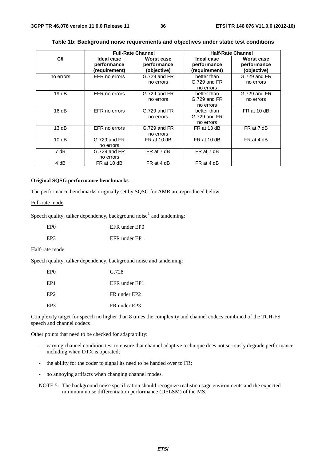|           | <b>Full-Rate Channel</b>                   |                                          | <b>Half-Rate Channel</b>                   |                                          |
|-----------|--------------------------------------------|------------------------------------------|--------------------------------------------|------------------------------------------|
| C/I       | Ideal case<br>performance<br>(requirement) | Worst case<br>performance<br>(objective) | Ideal case<br>performance<br>(requirement) | Worst case<br>performance<br>(objective) |
| no errors | EFR no errors                              | G.729 and FR<br>no errors                | better than<br>G.729 and FR<br>no errors   | G.729 and FR<br>no errors                |
| 19dB      | EFR no errors                              | G.729 and FR<br>no errors                | better than<br>G.729 and FR<br>no errors   | G.729 and FR<br>no errors                |
| 16dB      | EFR no errors                              | G.729 and FR<br>no errors                | better than<br>G.729 and FR<br>no errors   | FR at 10 dB                              |
| 13 dB     | EFR no errors                              | G.729 and FR<br>no errors                | FR at 13 dB                                | FR at 7 dB                               |
| 10dB      | G.729 and FR<br>no errors                  | FR at 10 dB                              | FR at 10 dB                                | FR at 4 dB                               |
| 7 dB      | $G.729$ and $FR$<br>no errors              | FR at 7 dB                               | FR at 7 dB                                 |                                          |
| 4 dB      | FR at 10 dB                                | FR at 4 dB                               | FR at 4 dB                                 |                                          |

#### **Table 1b: Background noise requirements and objectives under static test conditions**

#### **Original SQSG performance benchmarks**

The performance benchmarks originally set by SQSG for AMR are reproduced below.

#### Full-rate mode

Speech quality, talker dependency, background noise $<sup>1</sup>$  and tandeming:</sup>

| EP <sub>0</sub> | EFR under EPO |
|-----------------|---------------|
| EP3             | EFR under EP1 |

#### Half-rate mode

Speech quality, talker dependency, background noise and tandeming:

| EP <sub>0</sub> | G.728         |
|-----------------|---------------|
| EP <sub>1</sub> | EFR under EP1 |
| EP <sub>2</sub> | FR under EP2  |
| EP3             | FR under EP3  |

Complexity target for speech no higher than 8 times the complexity and channel codecs combined of the TCH-FS speech and channel codecs

Other points that need to be checked for adaptability:

- varying channel condition test to ensure that channel adaptive technique does not seriously degrade performance including when DTX is operated;
- the ability for the coder to signal its need to be handed over to FR;
- no annoying artifacts when changing channel modes.

NOTE 5: The background noise specification should recognize realistic usage environments and the expected minimum noise differentiation performance (DELSM) of the MS.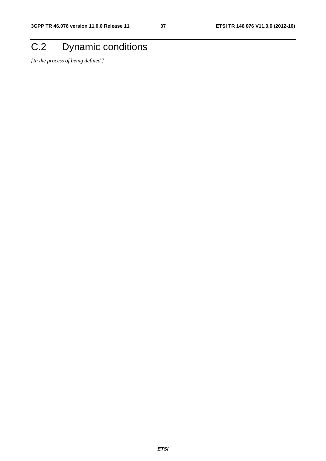## C.2 Dynamic conditions

*[In the process of being defined.]*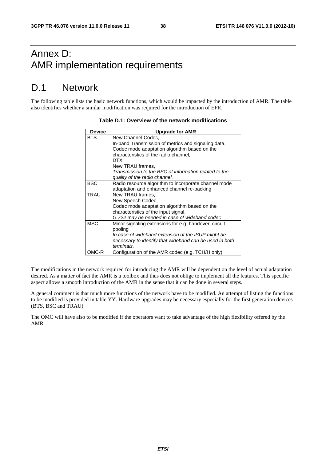## Annex D: AMR implementation requirements

## D.1 Network

The following table lists the basic network functions, which would be impacted by the introduction of AMR. The table also identifies whether a similar modification was required for the introduction of EFR.

| <b>Device</b> | <b>Upgrade for AMR</b>                                  |
|---------------|---------------------------------------------------------|
| <b>BTS</b>    | New Channel Codec,                                      |
|               | In-band Transmission of metrics and signaling data,     |
|               | Codec mode adaptation algorithm based on the            |
|               | characteristics of the radio channel,                   |
|               | DTX.                                                    |
|               | New TRAU frames,                                        |
|               | Transmission to the BSC of information related to the   |
|               | quality of the radio channel.                           |
| <b>BSC</b>    | Radio resource algorithm to incorporate channel mode    |
|               | adaptation and enhanced channel re-packing              |
| <b>TRAU</b>   | New TRAU frames,                                        |
|               | New Speech Codec,                                       |
|               | Codec mode adaptation algorithm based on the            |
|               | characteristics of the input signal,                    |
|               | G.722 may be needed in case of wideband codec           |
| <b>MSC</b>    | Minor signaling extensions for e.g. handover, circuit   |
|               | pooling                                                 |
|               | In case of wideband extension of the ISUP might be      |
|               | necessary to identify that wideband can be used in both |
|               | terminals.                                              |
| OMC-R         | Configuration of the AMR codec (e.g. TCH/H only)        |

#### **Table D.1: Overview of the network modifications**

The modifications in the network required for introducing the AMR will be dependent on the level of actual adaptation desired. As a matter of fact the AMR is a toolbox and thus does not oblige to implement all the features. This specific aspect allows a smooth introduction of the AMR in the sense that it can be done in several steps.

A general comment is that much more functions of the network have to be modified. An attempt of listing the functions to be modified is provided in table YY. Hardware upgrades may be necessary especially for the first generation devices (BTS, BSC and TRAU).

The OMC will have also to be modified if the operators want to take advantage of the high flexibility offered by the AMR.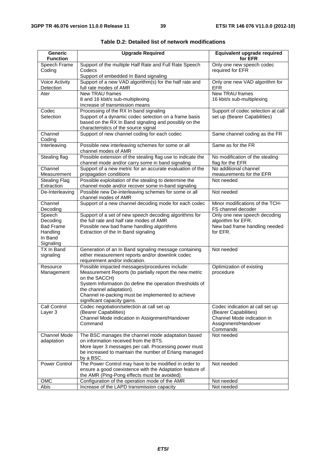| <b>Generic</b><br><b>Function</b>                                          | <b>Upgrade Required</b>                                                                                                                                                                                                                                                                                 | Equivalent upgrade required<br>for EFR                                                                                    |  |  |  |
|----------------------------------------------------------------------------|---------------------------------------------------------------------------------------------------------------------------------------------------------------------------------------------------------------------------------------------------------------------------------------------------------|---------------------------------------------------------------------------------------------------------------------------|--|--|--|
| Speech Frame<br>Coding                                                     | Support of the multiple Half Rate and Full Rate Speech<br>Codecs                                                                                                                                                                                                                                        | Only one new speech codec<br>required for EFR                                                                             |  |  |  |
| <b>Voice Activity</b><br>Detection                                         | Support of embedded In Band signaling<br>Support of a new VAD algorithm(s) for the half rate and<br>full rate modes of AMR                                                                                                                                                                              | Only one new VAD algorithm for<br><b>EFR</b>                                                                              |  |  |  |
| Ater                                                                       | New TRAU frames<br>8 and 16 kbit/s sub-multiplexing<br>Increase of transmission means                                                                                                                                                                                                                   | <b>New TRAU frames</b><br>16 kbit/s sub-multiplexing                                                                      |  |  |  |
| Codec<br>Selection                                                         | Processing of the RX In band signaling<br>Support of a dynamic codec selection on a frame basis<br>based on the RX In Band signaling and possibly on the<br>characteristics of the source signal                                                                                                        | Support of codec selection at call<br>set up (Bearer Capabilities)                                                        |  |  |  |
| Channel<br>Coding                                                          | Support of new channel coding for each codec                                                                                                                                                                                                                                                            | Same channel coding as the FR                                                                                             |  |  |  |
| Interleaving                                                               | Possible new interleaving schemes for some or all<br>channel modes of AMR                                                                                                                                                                                                                               | Same as for the FR                                                                                                        |  |  |  |
| Stealing flag                                                              | Possible extension of the stealing flag use to indicate the<br>channel mode and/or carry some in band signaling                                                                                                                                                                                         | No modification of the stealing<br>flag for the EFR                                                                       |  |  |  |
| Channel<br>Measurement                                                     | Support of a new metric for an accurate evaluation of the<br>propagation conditions                                                                                                                                                                                                                     | No additional channel<br>measurements for the EFR                                                                         |  |  |  |
| <b>Stealing Flag</b><br>Extraction                                         | Possible exploitation of the stealing to determine the<br>channel mode and/or recover some in-band signaling                                                                                                                                                                                            | Not needed                                                                                                                |  |  |  |
| De-Interleaving                                                            | Possible new De-interleaving schemes for some or all<br>channel modes of AMR                                                                                                                                                                                                                            | Not needed                                                                                                                |  |  |  |
| Channel<br>Decoding                                                        | Support of a new channel decoding mode for each codec                                                                                                                                                                                                                                                   | Minor modifications of the TCH-<br>FS channel decoder                                                                     |  |  |  |
| Speech<br>Decoding<br><b>Bad Frame</b><br>Handling<br>In Band<br>Signaling | Support of a set of new speech decoding algorithms for<br>the full rate and half rate modes of AMR<br>Possible new bad frame handling algorithms<br>Extraction of the In Band signaling                                                                                                                 | Only one new speech decoding<br>algorithm for EFR.<br>New bad frame handling needed<br>for EFR.                           |  |  |  |
| TX In Band<br>signaling                                                    | Generation of an In Band signaling message containing<br>either measurement reports and/or downlink codec<br>requirement and/or indication.                                                                                                                                                             | Not needed                                                                                                                |  |  |  |
| Resource<br>Management                                                     | Possible impacted messages/procedures include:<br>Measurement Reports (to partially report the new metric<br>on the SACCH)<br>System Information (to define the operation thresholds of<br>the channel adaptation).<br>Channel re-packing must be implemented to achieve<br>significant capacity gains. | Optimization of existing<br>procedure                                                                                     |  |  |  |
| Call Control<br>Layer 3                                                    | Codec negotiation/selection at call set up<br>(Bearer Capabilities)<br>Channel Mode indication in Assignment/Handover<br>Command                                                                                                                                                                        | Codec indication at call set up<br>(Bearer Capabilities)<br>Channel Mode indication in<br>Assignment/Handover<br>Commands |  |  |  |
| <b>Channel Mode</b><br>adaptation                                          | The BSC manages the channel mode adaptation based<br>on information received from the BTS.<br>More layer 3 messages per call. Processing power must<br>be increased to maintain the number of Erlang managed<br>by a BSC.                                                                               | Not needed                                                                                                                |  |  |  |
| <b>Power Control</b>                                                       | The Power Control may have to be modified in order to<br>ensure a good coexistence with the Adaptation feature of<br>the AMR (Ping-Pong effects must be avoided).                                                                                                                                       | Not needed                                                                                                                |  |  |  |
| OMC                                                                        | Configuration of the operation mode of the AMR                                                                                                                                                                                                                                                          | Not needed                                                                                                                |  |  |  |
| Abis                                                                       | Increase of the LAPD transmission capacity                                                                                                                                                                                                                                                              | Not needed                                                                                                                |  |  |  |

| Table D.2: Detailed list of network modifications |  |
|---------------------------------------------------|--|
|---------------------------------------------------|--|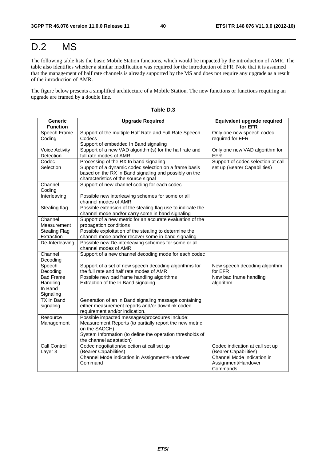## D.2 MS

The following table lists the basic Mobile Station functions, which would be impacted by the introduction of AMR. The table also identifies whether a similar modification was required for the introduction of EFR. Note that it is assumed that the management of half rate channels is already supported by the MS and does not require any upgrade as a result of the introduction of AMR.

The figure below presents a simplified architecture of a Mobile Station. The new functions or functions requiring an upgrade are framed by a double line.

| <b>Generic</b>        | <b>Upgrade Required</b>                                                                                        | Equivalent upgrade required        |
|-----------------------|----------------------------------------------------------------------------------------------------------------|------------------------------------|
| <b>Function</b>       |                                                                                                                | for EFR                            |
| Speech Frame          | Support of the multiple Half Rate and Full Rate Speech                                                         | Only one new speech codec          |
| Coding                | Codecs                                                                                                         | required for EFR                   |
|                       | Support of embedded In Band signaling                                                                          |                                    |
| <b>Voice Activity</b> | Support of a new VAD algorithm(s) for the half rate and                                                        | Only one new VAD algorithm for     |
| Detection             | full rate modes of AMR                                                                                         | <b>EFR</b>                         |
| Codec                 | Processing of the RX In band signaling                                                                         | Support of codec selection at call |
| Selection             | Support of a dynamic codec selection on a frame basis<br>based on the RX In Band signaling and possibly on the | set up (Bearer Capabilities)       |
|                       | characteristics of the source signal                                                                           |                                    |
| Channel               | Support of new channel coding for each codec                                                                   |                                    |
| Coding                |                                                                                                                |                                    |
| Interleaving          | Possible new interleaving schemes for some or all                                                              |                                    |
|                       | channel modes of AMR                                                                                           |                                    |
| Stealing flag         | Possible extension of the stealing flag use to indicate the                                                    |                                    |
|                       | channel mode and/or carry some in band signaling                                                               |                                    |
| Channel               | Support of a new metric for an accurate evaluation of the                                                      |                                    |
| Measurement           | propagation conditions                                                                                         |                                    |
| <b>Stealing Flag</b>  | Possible exploitation of the stealing to determine the                                                         |                                    |
| Extraction            | channel mode and/or recover some in-band signaling                                                             |                                    |
| De-Interleaving       | Possible new De-interleaving schemes for some or all                                                           |                                    |
| Channel               | channel modes of AMR<br>Support of a new channel decoding mode for each codec                                  |                                    |
| Decoding              |                                                                                                                |                                    |
| Speech                | Support of a set of new speech decoding algorithms for                                                         | New speech decoding algorithm      |
| Decoding              | the full rate and half rate modes of AMR                                                                       | for EFR                            |
| <b>Bad Frame</b>      | Possible new bad frame handling algorithms                                                                     | New bad frame handling             |
| Handling              | Extraction of the In Band signaling                                                                            | algorithm                          |
| In Band               |                                                                                                                |                                    |
| Signaling             |                                                                                                                |                                    |
| TX In Band            | Generation of an In Band signaling message containing                                                          |                                    |
| signaling             | either measurement reports and/or downlink codec                                                               |                                    |
|                       | requirement and/or indication.                                                                                 |                                    |
| Resource              | Possible impacted messages/procedures include:                                                                 |                                    |
| Management            | Measurement Reports (to partially report the new metric                                                        |                                    |
|                       | on the SACCH)<br>System Information (to define the operation thresholds of                                     |                                    |
|                       | the channel adaptation)                                                                                        |                                    |
| Call Control          | Codec negotiation/selection at call set up                                                                     | Codec indication at call set up    |
| Layer 3               | (Bearer Capabilities)                                                                                          | (Bearer Capabilities)              |
|                       | Channel Mode indication in Assignment/Handover                                                                 | Channel Mode indication in         |
|                       | Command                                                                                                        | Assignment/Handover                |
|                       |                                                                                                                | Commands                           |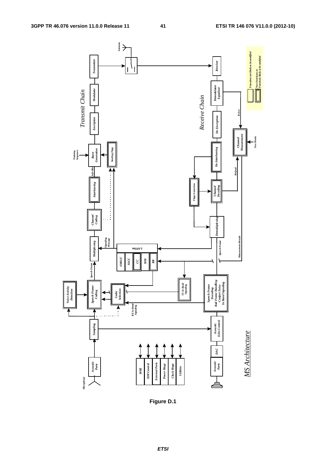

**Figure D.1**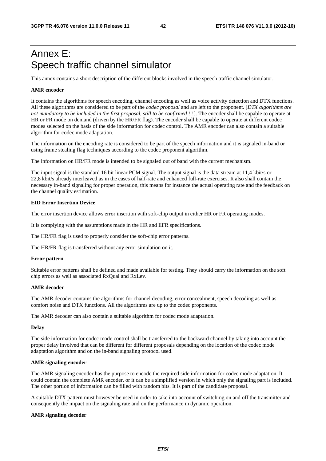## Annex E: Speech traffic channel simulator

This annex contains a short description of the different blocks involved in the speech traffic channel simulator.

#### **AMR encoder**

It contains the algorithms for speech encoding, channel encoding as well as voice activity detection and DTX functions. All these algorithms are considered to be part of the *codec proposal* and are left to the proponent. [*DTX algorithms are not mandatory to be included in the first proposal, still to be confirmed* !!!]. The encoder shall be capable to operate at HR or FR mode on demand (driven by the HR/FR flag). The encoder shall be capable to operate at different codec modes selected on the basis of the side information for codec control. The AMR encoder can also contain a suitable algorithm for codec mode adaptation.

The information on the encoding rate is considered to be part of the speech information and it is signaled in-band or using frame stealing flag techniques according to the codec proponent algorithm.

The information on HR/FR mode is intended to be signaled out of band with the current mechanism.

The input signal is the standard 16 bit linear PCM signal. The output signal is the data stream at 11,4 kbit/s or 22,8 kbit/s already interleaved as in the cases of half-rate and enhanced full-rate exercises. It also shall contain the necessary in-band signaling for proper operation, this means for instance the actual operating rate and the feedback on the channel quality estimation.

#### **EID Error Insertion Device**

The error insertion device allows error insertion with soft-chip output in either HR or FR operating modes.

It is complying with the assumptions made in the HR and EFR specifications.

The HR/FR flag is used to properly consider the soft-chip error patterns.

The HR/FR flag is transferred without any error simulation on it.

#### **Error pattern**

Suitable error patterns shall be defined and made available for testing. They should carry the information on the soft chip errors as well as associated RxQual and RxLev.

#### **AMR decoder**

The AMR decoder contains the algorithms for channel decoding, error concealment, speech decoding as well as comfort noise and DTX functions. All the algorithms are up to the codec proponents.

The AMR decoder can also contain a suitable algorithm for codec mode adaptation.

#### **Delay**

The side information for codec mode control shall be transferred to the backward channel by taking into account the proper delay involved that can be different for different proposals depending on the location of the codec mode adaptation algorithm and on the in-band signaling protocol used.

#### **AMR signaling encoder**

The AMR signaling encoder has the purpose to encode the required side information for codec mode adaptation. It could contain the complete AMR encoder, or it can be a simplified version in which only the signaling part is included. The other portion of information can be filled with random bits. It is part of the candidate proposal.

A suitable DTX pattern must however be used in order to take into account of switching on and off the transmitter and consequently the impact on the signaling rate and on the performance in dynamic operation.

#### **AMR signaling decoder**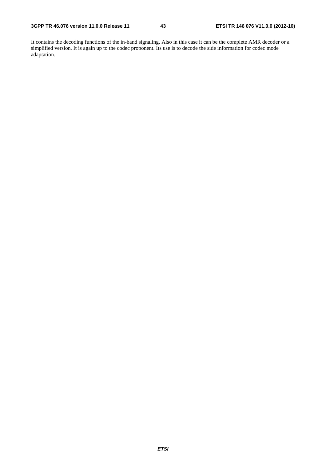It contains the decoding functions of the in-band signaling. Also in this case it can be the complete AMR decoder or a simplified version. It is again up to the codec proponent. Its use is to decode the side information for codec mode adaptation.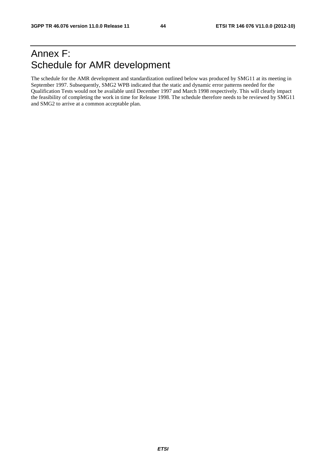## Annex F: Schedule for AMR development

The schedule for the AMR development and standardization outlined below was produced by SMG11 at its meeting in September 1997. Subsequently, SMG2 WPB indicated that the static and dynamic error patterns needed for the Qualification Tests would not be available until December 1997 and March 1998 respectively. This will clearly impact the feasibility of completing the work in time for Release 1998. The schedule therefore needs to be reviewed by SMG11 and SMG2 to arrive at a common acceptable plan.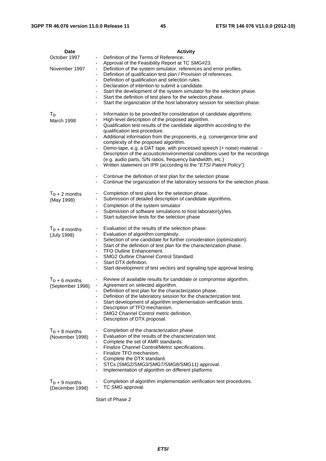| Date             | <b>Activity</b>                                                                                                                                                                                |
|------------------|------------------------------------------------------------------------------------------------------------------------------------------------------------------------------------------------|
| October 1997     | Definition of the Terms of Reference.                                                                                                                                                          |
|                  | Approval of the Feasibility Report at TC SMG#23.<br>$\overline{\phantom{a}}$                                                                                                                   |
| November 1997    | Definition of the system simulator, references and error profiles.<br>$\overline{\phantom{a}}$<br>Definition of qualification test plan / Provision of references.<br>$\overline{\phantom{a}}$ |
|                  | Definition of qualification and selection rules.<br>$\overline{\phantom{a}}$                                                                                                                   |
|                  | Declaration of intention to submit a candidate.<br>$\overline{\phantom{a}}$                                                                                                                    |
|                  | Start the development of the system simulator for the selection phase.<br>$\overline{\phantom{a}}$                                                                                             |
|                  | Start the definition of test plans for the selection phase.                                                                                                                                    |
|                  | Start the organization of the host laboratory session for selection phase.<br>$\overline{\phantom{a}}$                                                                                         |
| $T_{\rm o}$      | Information to be provided for consideration of candidate algorithms:                                                                                                                          |
| March 1998       | High-level description of the proposed algorithm.                                                                                                                                              |
|                  | Qualification test results of the candidate algorithm according to the<br>$\overline{\phantom{a}}$                                                                                             |
|                  | qualification test procedure.<br>Additional information from the proponents, e.g. convergence time and                                                                                         |
|                  | complexity of the proposed algorithm.                                                                                                                                                          |
|                  | Demo-tape, e.g. a DAT tape, with processed speech (+ noise) material. -<br>$\overline{\phantom{a}}$                                                                                            |
|                  | Description of the acoustic/environmental conditions used for the recordings                                                                                                                   |
|                  | (e.g. audio parts, S/N ratios, frequency bandwidth, etc.)                                                                                                                                      |
|                  | Written statement on IPR (according to the "ETSI Patent Policy")<br>$\overline{\phantom{a}}$                                                                                                   |
|                  | Continue the definition of test plan for the selection phase.                                                                                                                                  |
|                  | Continue the organization of the laboratory sessions for the selection phase.                                                                                                                  |
|                  |                                                                                                                                                                                                |
| $T_0 + 2$ months | Completion of test plans for the selection phase.<br>۰<br>Submission of detailed description of candidate algorithms.                                                                          |
| (May 1998)       | Completion of the system simulator                                                                                                                                                             |
|                  | Submission of software simulations to host laborator(y)/ies.                                                                                                                                   |
|                  | Start subjective tests for the selection phase<br>$\overline{\phantom{a}}$                                                                                                                     |
|                  |                                                                                                                                                                                                |
| $T_0 + 4$ months | Evaluation of the results of the selection phase.<br>$\blacksquare$<br>Evaluation of algorithm complexity.<br>-                                                                                |
| (July 1998)      | Selection of one candidate for further consideration (optimization).<br>$\overline{\phantom{a}}$                                                                                               |
|                  | Start of the definition of test plan for the characterization phase.                                                                                                                           |
|                  | <b>TFO Outline Enhancement.</b><br>$\overline{\phantom{a}}$                                                                                                                                    |
|                  | SMG2 Outline Channel Control Standard.<br>$\overline{\phantom{a}}$<br>Start DTX definition.                                                                                                    |
|                  | Start development of test vectors and signaling type approval testing.                                                                                                                         |
|                  |                                                                                                                                                                                                |
| $T_0 + 6$ months | Review of available results for candidate or compromise algorithm.<br>۰                                                                                                                        |
| (September 1998) | Agreement on selected algorithm.<br>-<br>Definition of test plan for the characterization phase.                                                                                               |
|                  | Definition of the laboratory session for the characterization test.                                                                                                                            |
|                  | Start development of algorithm implementation verification tests.<br>$\qquad \qquad \blacksquare$                                                                                              |
|                  | Description of TFO mechanism.                                                                                                                                                                  |
|                  | SMG2 Channel Control metric definition.<br>Description of DTX proposal.<br>$\overline{\phantom{a}}$                                                                                            |
|                  |                                                                                                                                                                                                |
| $T_0 + 8$ months | Completion of the characterization phase.                                                                                                                                                      |
| (November 1998)  | Evaluation of the results of the characterization test.                                                                                                                                        |
|                  | Complete the set of AMR standards.<br>٠<br>Finalize Channel Control/Metric specifications.                                                                                                     |
|                  | Finalize TFO mechanism.                                                                                                                                                                        |
|                  | Complete the DTX standard.                                                                                                                                                                     |
|                  | STCs (SMG2/SMG3/SMG7/SMG8/SMG11) approval.<br>$\overline{\phantom{a}}$                                                                                                                         |
|                  | Implementation of algorithm on different platforms                                                                                                                                             |
| $T_0 + 9$ months | Completion of algorithm implementation verification test procedures.                                                                                                                           |
| (December 1998)  | TC SMG approval.                                                                                                                                                                               |
|                  |                                                                                                                                                                                                |

Start of Phase 2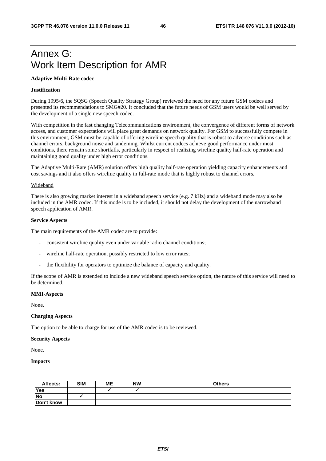## Annex G: Work Item Description for AMR

#### **Adaptive Multi-Rate codec**

#### **Justification**

During 1995/6, the SQSG (Speech Quality Strategy Group) reviewed the need for any future GSM codecs and presented its recommendations to SMG#20. It concluded that the future needs of GSM users would be well served by the development of a single new speech codec.

With competition in the fast changing Telecommunications environment, the convergence of different forms of network access, and customer expectations will place great demands on network quality. For GSM to successfully compete in this environment, GSM must be capable of offering wireline speech quality that is robust to adverse conditions such as channel errors, background noise and tandeming. Whilst current codecs achieve good performance under most conditions, there remain some shortfalls, particularly in respect of realizing wireline quality half-rate operation and maintaining good quality under high error conditions.

The Adaptive Multi-Rate (AMR) solution offers high quality half-rate operation yielding capacity enhancements and cost savings and it also offers wireline quality in full-rate mode that is highly robust to channel errors.

#### Wideband

There is also growing market interest in a wideband speech service (e.g. 7 kHz) and a wideband mode may also be included in the AMR codec. If this mode is to be included, it should not delay the development of the narrowband speech application of AMR.

#### **Service Aspects**

The main requirements of the AMR codec are to provide:

- consistent wireline quality even under variable radio channel conditions;
- wireline half-rate operation, possibly restricted to low error rates;
- the flexibility for operators to optimize the balance of capacity and quality.

If the scope of AMR is extended to include a new wideband speech service option, the nature of this service will need to be determined.

#### **MMI-Aspects**

None.

#### **Charging Aspects**

The option to be able to charge for use of the AMR codec is to be reviewed.

#### **Security Aspects**

None.

#### **Impacts**

| Affects:   | <b>SIM</b> | <b>ME</b> | <b>NW</b> | <b>Others</b> |
|------------|------------|-----------|-----------|---------------|
| <b>Yes</b> |            |           |           |               |
| <b>No</b>  |            |           |           |               |
| Don't know |            |           |           |               |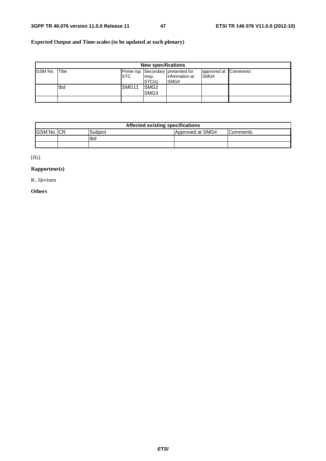### **Expected Output and Time-scales (to be updated at each plenary)**

|                | <b>New specifications</b> |                   |                                      |                                                                     |                              |  |
|----------------|---------------------------|-------------------|--------------------------------------|---------------------------------------------------------------------|------------------------------|--|
| <b>GSM No.</b> | <b>Title</b>              | <b>ISTC</b>       | resp.<br>STC(s)                      | Prime rsp. Secondary presented for<br>information at<br><b>SMG#</b> | approved at Comments<br>SMG# |  |
|                | tbd                       | SMG <sub>11</sub> | SMG <sub>2</sub><br>SMG <sub>3</sub> |                                                                     |                              |  |
|                |                           |                   |                                      |                                                                     |                              |  |

| Affected existing specifications |  |         |                  |                 |  |  |  |
|----------------------------------|--|---------|------------------|-----------------|--|--|--|
| <b>IGSM No. ICR</b>              |  | Subiect | Approved at SMG# | <b>Comments</b> |  |  |  |
|                                  |  | tbd     |                  |                 |  |  |  |
|                                  |  |         |                  |                 |  |  |  |

[ffs]

### **Rapporteur(s)**

K. Järvinen

#### **Others**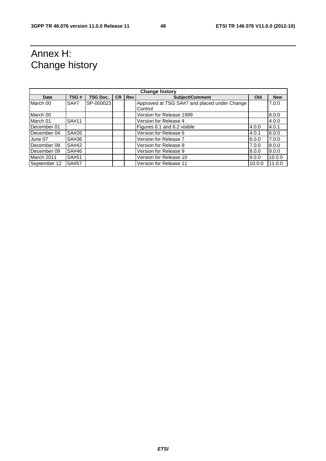## Annex H: Change history

| <b>Change history</b> |             |                 |           |            |                                              |        |            |
|-----------------------|-------------|-----------------|-----------|------------|----------------------------------------------|--------|------------|
| Date                  | TSG#        | <b>TSG Doc.</b> | <b>CR</b> | <b>Rev</b> | Subject/Comment                              | Old    | <b>New</b> |
| March 00              | <b>SA#7</b> | SP-000023       |           |            | Approved at TSG SA#7 and placed under Change |        | 7.0.0      |
|                       |             |                 |           |            | Control                                      |        |            |
| March 00              |             |                 |           |            | Version for Release 1999                     |        | 8.0.0      |
| March 01              | SA#11       |                 |           |            | Version for Release 4                        |        | 4.0.0      |
| December 01           |             |                 |           |            | Figures 6.1 and 6.2 visible                  | 4.0.0  | 4.0.1      |
| December 04           | SA#26       |                 |           |            | Version for Release 6                        | 4.0.1  | 6.0.0      |
| June 07               | SA#36       |                 |           |            | Version for Release 7                        | 6.0.0  | 7.0.0      |
| December 08           | SA#42       |                 |           |            | Version for Release 8                        | 7.0.0  | 8.0.0      |
| December 09           | SA#46       |                 |           |            | Version for Release 9                        | 8.0.0  | 9.0.0      |
| March 2011            | SA#51       |                 |           |            | Version for Release 10                       | 9.0.0  | 10.0.0     |
| September 12          | SA#57       |                 |           |            | Version for Release 11                       | 10.0.0 | 11.0.0     |